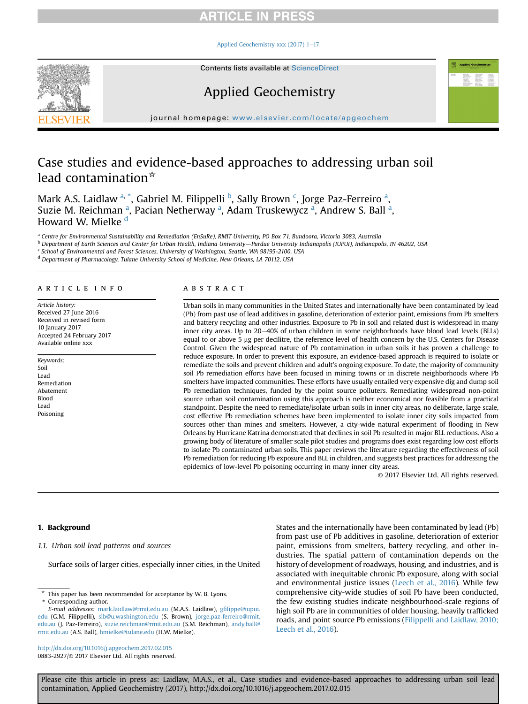### [Applied Geochemistry xxx \(2017\) 1](http://dx.doi.org/10.1016/j.apgeochem.2017.02.015)-[17](http://dx.doi.org/10.1016/j.apgeochem.2017.02.015)



Contents lists available at ScienceDirect

# Applied Geochemistry

journal homepage: [www.elsevier.com/locate/apgeochem](http://www.elsevier.com/locate/apgeochem)

# Case studies and evidence-based approaches to addressing urban soil lead contamination $\mathbf{\hat{z}}$

Mark A.S. Laidlaw <sup>a, \*</sup>, Gabriel M. Filippelli <sup>b</sup>, Sally Brown <sup>c</sup>, Jorge Paz-Ferreiro <sup>a</sup>, Suzie M. Reichman <sup>a</sup>, Pacian Netherway <sup>a</sup>, Adam Truskewycz <sup>a</sup>, Andrew S. Ball <sup>a</sup>, Howard W. Mielke<sup>d</sup>

a Centre for Environmental Sustainability and Remediation (EnSuRe), RMIT University, PO Box 71, Bundoora, Victoria 3083, Australia

<sup>b</sup> Department of Earth Sciences and Center for Urban Health, Indiana University—Purdue University Indianapolis (IUPUI), Indianapolis, IN 46202, USA

<sup>c</sup> School of Environmental and Forest Sciences, University of Washington, Seattle, WA 98195-2100, USA

<sup>d</sup> Department of Pharmacology, Tulane University School of Medicine, New Orleans, LA 70112, USA

# article info

Article history: Received 27 June 2016 Received in revised form 10 January 2017 Accepted 24 February 2017 Available online xxx

Keywords: Soil Lead Remediation Abatement Blood Lead Poisoning

# ABSTRACT

Urban soils in many communities in the United States and internationally have been contaminated by lead (Pb) from past use of lead additives in gasoline, deterioration of exterior paint, emissions from Pb smelters and battery recycling and other industries. Exposure to Pb in soil and related dust is widespread in many inner city areas. Up to  $20-40\%$  of urban children in some neighborhoods have blood lead levels (BLLs) equal to or above 5 µg per decilitre, the reference level of health concern by the U.S. Centers for Disease Control. Given the widespread nature of Pb contamination in urban soils it has proven a challenge to reduce exposure. In order to prevent this exposure, an evidence-based approach is required to isolate or remediate the soils and prevent children and adult's ongoing exposure. To date, the majority of community soil Pb remediation efforts have been focused in mining towns or in discrete neighborhoods where Pb smelters have impacted communities. These efforts have usually entailed very expensive dig and dump soil Pb remediation techniques, funded by the point source polluters. Remediating widespread non-point source urban soil contamination using this approach is neither economical nor feasible from a practical standpoint. Despite the need to remediate/isolate urban soils in inner city areas, no deliberate, large scale, cost effective Pb remediation schemes have been implemented to isolate inner city soils impacted from sources other than mines and smelters. However, a city-wide natural experiment of flooding in New Orleans by Hurricane Katrina demonstrated that declines in soil Pb resulted in major BLL reductions. Also a growing body of literature of smaller scale pilot studies and programs does exist regarding low cost efforts to isolate Pb contaminated urban soils. This paper reviews the literature regarding the effectiveness of soil Pb remediation for reducing Pb exposure and BLL in children, and suggests best practices for addressing the epidemics of low-level Pb poisoning occurring in many inner city areas.

© 2017 Elsevier Ltd. All rights reserved.

# 1. Background

# 1.1. Urban soil lead patterns and sources

Surface soils of larger cities, especially inner cities, in the United

<http://dx.doi.org/10.1016/j.apgeochem.2017.02.015> 0883-2927/© 2017 Elsevier Ltd. All rights reserved. States and the internationally have been contaminated by lead (Pb) from past use of Pb additives in gasoline, deterioration of exterior paint, emissions from smelters, battery recycling, and other industries. The spatial pattern of contamination depends on the history of development of roadways, housing, and industries, and is associated with inequitable chronic Pb exposure, along with social and environmental justice issues ([Leech et al., 2016\)](#page-14-0). While few comprehensive city-wide studies of soil Pb have been conducted, the few existing studies indicate neighbourhood-scale regions of high soil Pb are in communities of older housing, heavily trafficked roads, and point source Pb emissions ([Filippelli and Laidlaw, 2010;](#page-13-0) [Leech et al., 2016](#page-13-0)).

 $*$  This paper has been recommended for acceptance by W. B. Lyons. Corresponding author.

E-mail addresses: [mark.laidlaw@rmit.edu.au](mailto:mark.laidlaw@rmit.edu.au) (M.A.S. Laidlaw), gfi[lippe@iupui.](mailto:gfilippe@iupui.edu) [edu](mailto:gfilippe@iupui.edu) (G.M. Filippelli), [slb@u.washington.edu](mailto:slb@u.washington.edu) (S. Brown), [jorge.paz-ferreiro@rmit.](mailto:jorge.paz-ferreiro@rmit.edu.au) [edu.au](mailto:jorge.paz-ferreiro@rmit.edu.au) (J. Paz-Ferreiro), [suzie.reichman@rmit.edu.au](mailto:suzie.reichman@rmit.edu.au) (S.M. Reichman), [andy.ball@](mailto:andy.ball@rmit.edu.au) [rmit.edu.au](mailto:andy.ball@rmit.edu.au) (A.S. Ball), [hmielke@tulane.edu](mailto:hmielke@tulane.edu) (H.W. Mielke).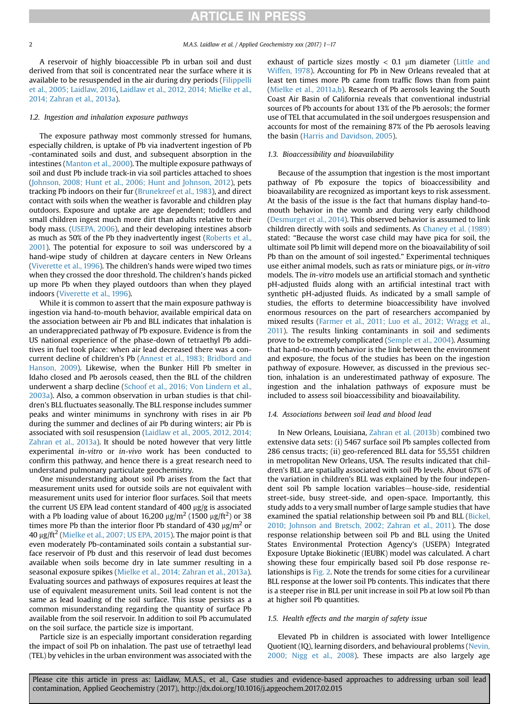<span id="page-1-0"></span>A reservoir of highly bioaccessible Pb in urban soil and dust derived from that soil is concentrated near the surface where it is available to be resuspended in the air during dry periods [\(Filippelli](#page-13-0) [et al., 2005; Laidlaw, 2016](#page-13-0), [Laidlaw et al., 2012, 2014; Mielke et al.,](#page-14-0) [2014; Zahran et al., 2013a](#page-14-0)).

# 1.2. Ingestion and inhalation exposure pathways

The exposure pathway most commonly stressed for humans, especially children, is uptake of Pb via inadvertent ingestion of Pb -contaminated soils and dust, and subsequent absorption in the intestines [\(Manton et al., 2000](#page-14-0)). The multiple exposure pathways of soil and dust Pb include track-in via soil particles attached to shoes ([Johnson, 2008; Hunt et al., 2006; Hunt and Johnson, 2012](#page-14-0)), pets tracking Pb indoors on their fur ([Brunekreef et al., 1983\)](#page-13-0), and direct contact with soils when the weather is favorable and children play outdoors. Exposure and uptake are age dependent; toddlers and small children ingest much more dirt than adults relative to their body mass. ([USEPA, 2006](#page-15-0)), and their developing intestines absorb as much as 50% of the Pb they inadvertently ingest [\(Roberts et al.,](#page-15-0) [2001\)](#page-15-0). The potential for exposure to soil was underscored by a hand-wipe study of children at daycare centers in New Orleans ([Viverette et al., 1996](#page-15-0)). The children's hands were wiped two times when they crossed the door threshold. The children's hands picked up more Pb when they played outdoors than when they played indoors ([Viverette et al., 1996](#page-15-0)).

While it is common to assert that the main exposure pathway is ingestion via hand-to-mouth behavior, available empirical data on the association between air Pb and BLL indicates that inhalation is an underappreciated pathway of Pb exposure. Evidence is from the US national experience of the phase-down of tetraethyl Pb additives in fuel took place: when air lead decreased there was a concurrent decline of children's Pb [\(Annest et al., 1983; Bridbord and](#page-12-0) [Hanson, 2009](#page-12-0)). Likewise, when the Bunker Hill Pb smelter in Idaho closed and Pb aerosols ceased, then the BLL of the children underwent a sharp decline [\(Schoof et al., 2016; Von Lindern et al.,](#page-15-0) [2003a](#page-15-0)). Also, a common observation in urban studies is that children's BLL fluctuates seasonally. The BLL response includes summer peaks and winter minimums in synchrony with rises in air Pb during the summer and declines of air Pb during winters; air Pb is associated with soil resuspension ([Laidlaw et al., 2005, 2012, 2014;](#page-14-0) [Zahran et al., 2013a](#page-14-0)). It should be noted however that very little experimental in-vitro or in-vivo work has been conducted to confirm this pathway, and hence there is a great research need to understand pulmonary particulate geochemistry.

One misunderstanding about soil Pb arises from the fact that measurement units used for outside soils are not equivalent with measurement units used for interior floor surfaces. Soil that meets the current US EPA lead content standard of 400 µg/g is associated with a Pb loading value of about 16,200  $\mu$ g/m<sup>2</sup> (1500  $\mu$ g/ft<sup>2</sup>) or 38 times more Pb than the interior floor Pb standard of 430  $\mu$ g/m<sup>2</sup> or 40  $\mu$ g/ft<sup>2</sup> [\(Mielke et al., 2007; US EPA, 2015](#page-14-0)). The major point is that even moderately Pb-contaminated soils contain a substantial surface reservoir of Pb dust and this reservoir of lead dust becomes available when soils become dry in late summer resulting in a seasonal exposure spikes [\(Mielke et al., 2014; Zahran et al., 2013a\)](#page-14-0). Evaluating sources and pathways of exposures requires at least the use of equivalent measurement units. Soil lead content is not the same as lead loading of the soil surface. This issue persists as a common misunderstanding regarding the quantity of surface Pb available from the soil reservoir. In addition to soil Pb accumulated on the soil surface, the particle size is important.

Particle size is an especially important consideration regarding the impact of soil Pb on inhalation. The past use of tetraethyl lead (TEL) by vehicles in the urban environment was associated with the

exhaust of particle sizes mostly  $< 0.1$  µm diameter [\(Little and](#page-14-0) [Wiffen, 1978](#page-14-0)). Accounting for Pb in New Orleans revealed that at least ten times more Pb came from traffic flows than from paint ([Mielke et al., 2011a,b\)](#page-14-0). Research of Pb aerosols leaving the South Coast Air Basin of California reveals that conventional industrial sources of Pb accounts for about 13% of the Pb aerosols; the former use of TEL that accumulated in the soil undergoes resuspension and accounts for most of the remaining 87% of the Pb aerosols leaving the basin [\(Harris and Davidson, 2005\)](#page-14-0).

### 1.3. Bioaccessibility and bioavailability

Because of the assumption that ingestion is the most important pathway of Pb exposure the topics of bioaccessibility and bioavailability are recognized as important keys to risk assessment. At the basis of the issue is the fact that humans display hand-tomouth behavior in the womb and during very early childhood ([Desmurget et al., 2014\)](#page-13-0). This observed behavior is assumed to link children directly with soils and sediments. As [Chaney et al. \(1989\)](#page-13-0) stated: "Because the worst case child may have pica for soil, the ultimate soil Pb limit will depend more on the bioavailability of soil Pb than on the amount of soil ingested." Experimental techniques use either animal models, such as rats or miniature pigs, or in-vitro models. The in-vitro models use an artificial stomach and synthetic pH-adjusted fluids along with an artificial intestinal tract with synthetic pH-adjusted fluids. As indicated by a small sample of studies, the efforts to determine bioaccessibility have involved enormous resources on the part of researchers accompanied by mixed results [\(Farmer et al., 2011; Luo et al., 2012; Wragg et al.,](#page-13-0) [2011\)](#page-13-0). The results linking contaminants in soil and sediments prove to be extremely complicated [\(Semple et al., 2004\)](#page-15-0). Assuming that hand-to-mouth behavior is the link between the environment and exposure, the focus of the studies has been on the ingestion pathway of exposure. However, as discussed in the previous section, inhalation is an underestimated pathway of exposure. The ingestion and the inhalation pathways of exposure must be included to assess soil bioaccessibility and bioavailability.

# 1.4. Associations between soil lead and blood lead

In New Orleans, Louisiana, [Zahran et al. \(2013b\)](#page-16-0) combined two extensive data sets: (i) 5467 surface soil Pb samples collected from 286 census tracts; (ii) geo-referenced BLL data for 55,551 children in metropolitan New Orleans, USA. The results indicated that children's BLL are spatially associated with soil Pb levels. About 67% of the variation in children's BLL was explained by the four independent soil Pb sample location variables-house-side, residential street-side, busy street-side, and open-space. Importantly, this study adds to a very small number of large sample studies that have examined the spatial relationship between soil Pb and BLL ([Bickel,](#page-13-0) [2010; Johnson and Bretsch, 2002; Zahran et al., 2011\)](#page-13-0). The dose response relationship between soil Pb and BLL using the United States Environmental Protection Agency's (USEPA) Integrated Exposure Uptake Biokinetic (IEUBK) model was calculated. A chart showing these four empirically based soil Pb dose response relationships is [Fig. 2.](#page-3-0) Note the trends for some cities for a curvilinear BLL response at the lower soil Pb contents. This indicates that there is a steeper rise in BLL per unit increase in soil Pb at low soil Pb than at higher soil Pb quantities.

# 1.5. Health effects and the margin of safety issue

Elevated Pb in children is associated with lower Intelligence Quotient (IQ), learning disorders, and behavioural problems ([Nevin,](#page-14-0) [2000; Nigg et al., 2008\)](#page-14-0). These impacts are also largely age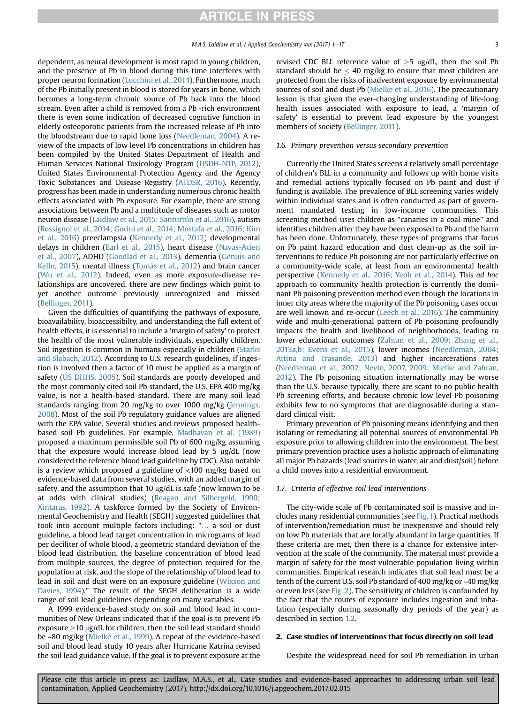dependent, as neural development is most rapid in young children, and the presence of Pb in blood during this time interferes with proper neuron formation [\(Lucchini et al., 2014\)](#page-14-0). Furthermore, much of the Pb initially present in blood is stored for years in bone, which becomes a long-term chronic source of Pb back into the blood stream. Even after a child is removed from a Pb -rich environment there is even some indication of decreased cognitive function in elderly osteoporotic patients from the increased release of Pb into the bloodstream due to rapid bone loss ([Needleman, 2004\)](#page-14-0). A review of the impacts of low level Pb concentrations in children has been compiled by the United States Department of Health and Human Services National Toxicology Program ([USDH-NTP, 2012\)](#page-15-0), United States Environmental Protection Agency and the Agency Toxic Substances and Disease Registry [\(ATDSR, 2016\)](#page-12-0). Recently, progress has been made in understanding numerous chronic health effects associated with Pb exposure. For example, there are strong associations between Pb and a multitude of diseases such as motor neuron disease [\(Laidlaw et al., 2015; Santurtún et al., 2016\)](#page-14-0), autism ([Rossignol et al., 2014; Gorini et al., 2014; Mostafa et al., 2016; Kim](#page-15-0) [et al., 2016](#page-15-0)) preeclampsia ([Kennedy et al., 2012](#page-14-0)) developmental delays in children [\(Earl et al., 2015\)](#page-13-0), heart disease [\(Navas-Acien](#page-14-0) [et al., 2007\)](#page-14-0), ADHD [\(Goodlad et al., 2013](#page-13-0)), dementia [\(Genuis and](#page-13-0) [Kelln, 2015](#page-13-0)), mental illness ([Tom](#page-15-0)ás et al., 2012) and brain cancer ([Wu et al., 2012\)](#page-15-0). Indeed, even as more exposure-disease relationships are uncovered, there are new findings which point to yet another outcome previously unrecognized and missed ([Bellinger, 2011\)](#page-13-0).

Given the difficulties of quantifying the pathways of exposure, bioavailability, bioaccessibilty, and understanding the full extent of health effects, it is essential to include a 'margin of safety' to protect the health of the most vulnerable individuals, especially children. Soil ingestion is common in humans especially in children ([Starks](#page-15-0) [and Slabach, 2012\)](#page-15-0). According to U.S. research guidelines, if ingestion is involved then a factor of 10 must be applied as a margin of safety ([US DHHS, 2005\)](#page-15-0). Soil standards are poorly developed and the most commonly cited soil Pb standard, the U.S. EPA 400 mg/kg value, is not a health-based standard. There are many soil lead standards ranging from 20 mg/kg to over 1000 mg/kg [\(Jennings,](#page-14-0) [2008\)](#page-14-0). Most of the soil Pb regulatory guidance values are aligned with the EPA value. Several studies and reviews proposed healthbased soil Pb guidelines. For example, [Madhavan et al. \(1989\)](#page-14-0) proposed a maximum permissible soil Pb of 600 mg/kg assuming that the exposure would increase blood lead by 5  $\mu$ g/dL (now considered the reference blood lead guideline by CDC). Also notable is a review which proposed a guideline of <100 mg/kg based on evidence-based data from several studies, with an added margin of safety, and the assumption that 10  $\mu$ g/dL is safe (now known to be at odds with clinical studies) [\(Reagan and Silbergeld, 1990;](#page-15-0) [Xintaras, 1992\)](#page-15-0). A taskforce formed by the Society of Environmental Geochemistry and Health (SEGH) suggested guidelines that took into account multiple factors including: "… a soil or dust guideline, a blood lead target concentration in micrograms of lead per deciliter of whole blood, a geometric standard deviation of the blood lead distribution, the baseline concentration of blood lead from multiple sources, the degree of protection required for the population at risk, and the slope of the relationship of blood lead to lead in soil and dust were on an exposure guideline ([Wixson and](#page-15-0) [Davies, 1994\)](#page-15-0)." The result of the SEGH deliberation is a wide range of soil lead guidelines depending on many variables.

A 1999 evidence-based study on soil and blood lead in communities of New Orleans indicated that if the goal is to prevent Pb exposure  $\geq$ 10  $\mu$ g/dL for children, then the soil lead standard should be ~80 mg/kg ([Mielke et al., 1999](#page-14-0)). A repeat of the evidence-based soil and blood lead study 10 years after Hurricane Katrina revised the soil lead guidance value. If the goal is to prevent exposure at the revised CDC BLL reference value of  $\geq$ 5 µg/dL, then the soil Pb standard should be  $\leq 40$  mg/kg to ensure that most children are protected from the risks of inadvertent exposure by environmental sources of soil and dust Pb ([Mielke et al., 2016](#page-14-0)). The precautionary lesson is that given the ever-changing understanding of life-long health issues associated with exposure to lead, a 'margin of safety' is essential to prevent lead exposure by the youngest members of society [\(Bellinger, 2011\)](#page-13-0).

# 1.6. Primary prevention versus secondary prevention

Currently the United States screens a relatively small percentage of children's BLL in a community and follows up with home visits and remedial actions typically focused on Pb paint and dust if funding is available. The prevalence of BLL screening varies widely within individual states and is often conducted as part of government mandated testing in low-income communities. This screening method uses children as "canaries in a coal mine" and identifies children after they have been exposed to Pb and the harm has been done. Unfortunately, these types of programs that focus on Pb paint hazard education and dust clean-up as the soil interventions to reduce Pb poisoning are not particularly effective on a community-wide scale, at least from an environmental health perspective [\(Kennedy et al., 2016; Yeoh et al., 2014](#page-14-0)). This ad hoc approach to community health protection is currently the dominant Pb poisoning prevention method even though the locations in inner city areas where the majority of the Pb poisoning cases occur are well known and re-occur ([Leech et al., 2016\)](#page-14-0). The community wide and multi-generational pattern of Pb poisoning profoundly impacts the health and livelihood of neighborhoods, leading to lower educational outcomes ([Zahran et al., 2009; Zhang et al.,](#page-16-0) [2013a,b; Evens et al., 2015\)](#page-16-0), lower incomes [\(Needleman, 2004;](#page-14-0) [Attina and Trasande, 2013\)](#page-14-0) and higher incarcerations rates ([Needleman et al., 2002; Nevin, 2007, 2009; Mielke and Zahran,](#page-14-0) [2012\)](#page-14-0). The Pb poisoning situation internationally may be worse than the U.S. because typically, there are scant to no public health Pb screening efforts, and because chronic low level Pb poisoning exhibits few to no symptoms that are diagnosable during a standard clinical visit.

Primary prevention of Pb poisoning means identifying and then isolating or remediating all potential sources of environmental Pb exposure prior to allowing children into the environment. The best primary prevention practice uses a holistic approach of eliminating all major Pb hazards (lead sources in water, air and dust/soil) before a child moves into a residential environment.

### 1.7. Criteria of effective soil lead interventions

The city-wide scale of Pb contaminated soil is massive and includes many residential communities (see [Fig. 1\)](#page-3-0). Practical methods of intervention/remediation must be inexpensive and should rely on low Pb materials that are locally abundant in large quantities. If these criteria are met, then there is a chance for extensive intervention at the scale of the community. The material must provide a margin of safety for the most vulnerable population living within communities. Empirical research indicates that soil lead must be a tenth of the current U.S. soil Pb standard of 400 mg/kg or ~40 mg/kg or even less (see [Fig. 2\)](#page-3-0). The sensitivity of children is confounded by the fact that the routes of exposure includes ingestion and inhalation (especially during seasonally dry periods of the year) as described in section [1.2](#page-1-0).

# 2. Case studies of interventions that focus directly on soil lead

Despite the widespread need for soil Pb remediation in urban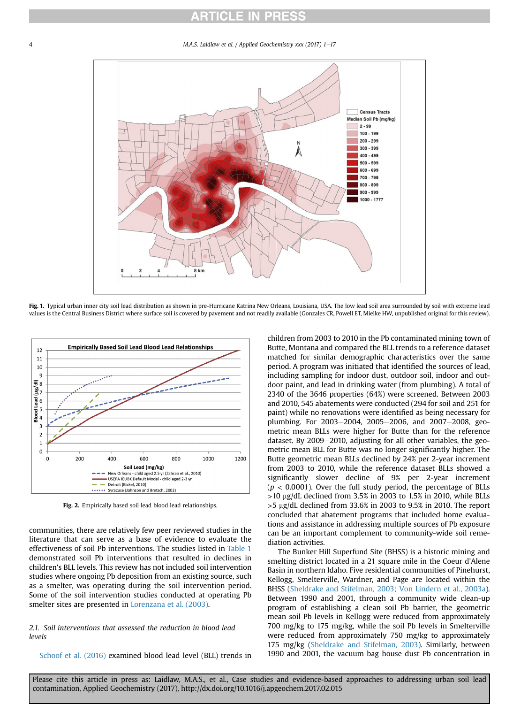M.A.S. Laidlaw et al. / Applied Geochemistry xxx (2017) 1-17

<span id="page-3-0"></span>

Fig. 1. Typical urban inner city soil lead distribution as shown in pre-Hurricane Katrina New Orleans, Louisiana, USA. The low lead soil area surrounded by soil with extreme lead values is the Central Business District where surface soil is covered by pavement and not readily available (Gonzales CR, Powell ET, Mielke HW, unpublished original for this review).



Fig. 2. Empirically based soil lead blood lead relationships.

communities, there are relatively few peer reviewed studies in the literature that can serve as a base of evidence to evaluate the effectiveness of soil Pb interventions. The studies listed in [Table 1](#page-4-0) demonstrated soil Pb interventions that resulted in declines in children's BLL levels. This review has not included soil intervention studies where ongoing Pb deposition from an existing source, such as a smelter, was operating during the soil intervention period. Some of the soil intervention studies conducted at operating Pb smelter sites are presented in [Lorenzana et al. \(2003\).](#page-14-0)

# 2.1. Soil interventions that assessed the reduction in blood lead levels

[Schoof et al. \(2016\)](#page-15-0) examined blood lead level (BLL) trends in

children from 2003 to 2010 in the Pb contaminated mining town of Butte, Montana and compared the BLL trends to a reference dataset matched for similar demographic characteristics over the same period. A program was initiated that identified the sources of lead, including sampling for indoor dust, outdoor soil, indoor and outdoor paint, and lead in drinking water (from plumbing). A total of 2340 of the 3646 properties (64%) were screened. Between 2003 and 2010, 545 abatements were conducted (294 for soil and 251 for paint) while no renovations were identified as being necessary for plumbing. For  $2003-2004$ ,  $2005-2006$ , and  $2007-2008$ , geometric mean BLLs were higher for Butte than for the reference dataset. By  $2009-2010$ , adjusting for all other variables, the geometric mean BLL for Butte was no longer significantly higher. The Butte geometric mean BLLs declined by 24% per 2-year increment from 2003 to 2010, while the reference dataset BLLs showed a significantly slower decline of 9% per 2-year increment  $(p < 0.0001)$ . Over the full study period, the percentage of BLLs  $>$ 10 µg/dL declined from 3.5% in 2003 to 1.5% in 2010, while BLLs  $>5$  µg/dL declined from 33.6% in 2003 to 9.5% in 2010. The report concluded that abatement programs that included home evaluations and assistance in addressing multiple sources of Pb exposure can be an important complement to community-wide soil remediation activities.

The Bunker Hill Superfund Site (BHSS) is a historic mining and smelting district located in a 21 square mile in the Coeur d'Alene Basin in northern Idaho. Five residential communities of Pinehurst, Kellogg, Smelterville, Wardner, and Page are located within the BHSS [\(Sheldrake and Stifelman, 2003; Von Lindern et al., 2003a\)](#page-15-0). Between 1990 and 2001, through a community wide clean-up program of establishing a clean soil Pb barrier, the geometric mean soil Pb levels in Kellogg were reduced from approximately 700 mg/kg to 175 mg/kg, while the soil Pb levels in Smelterville were reduced from approximately 750 mg/kg to approximately 175 mg/kg ([Sheldrake and Stifelman, 2003\)](#page-15-0). Similarly, between 1990 and 2001, the vacuum bag house dust Pb concentration in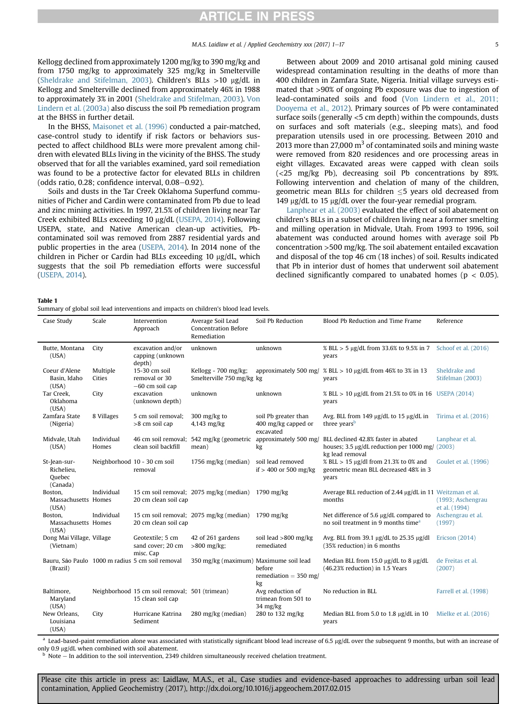<span id="page-4-0"></span>Kellogg declined from approximately 1200 mg/kg to 390 mg/kg and from 1750 mg/kg to approximately 325 mg/kg in Smelterville ([Sheldrake and Stifelman, 2003\)](#page-15-0). Children's BLLs  $>10$  µg/dL in Kellogg and Smelterville declined from approximately 46% in 1988 to approximately 3% in 2001 ([Sheldrake and Stifelman, 2003](#page-15-0)). [Von](#page-15-0) [Lindern et al. \(2003a\)](#page-15-0) also discuss the soil Pb remediation program at the BHSS in further detail.

In the BHSS, [Maisonet et al. \(1996\)](#page-14-0) conducted a pair-matched, case-control study to identify if risk factors or behaviors suspected to affect childhood BLLs were more prevalent among children with elevated BLLs living in the vicinity of the BHSS. The study observed that for all the variables examined, yard soil remediation was found to be a protective factor for elevated BLLs in children (odds ratio,  $0.28$ ; confidence interval,  $0.08-0.92$ ).

Soils and dusts in the Tar Creek Oklahoma Superfund communities of Picher and Cardin were contaminated from Pb due to lead and zinc mining activities. In 1997, 21.5% of children living near Tar Creek exhibited BLLs exceeding 10 µg/dL ([USEPA, 2014](#page-15-0)). Following USEPA, state, and Native American clean-up activities, Pbcontaminated soil was removed from 2887 residential yards and public properties in the area ([USEPA, 2014\)](#page-15-0). In 2014 none of the children in Picher or Cardin had BLLs exceeding  $10 \mu g/dL$ , which suggests that the soil Pb remediation efforts were successful ([USEPA, 2014\)](#page-15-0).

Between about 2009 and 2010 artisanal gold mining caused widespread contamination resulting in the deaths of more than 400 children in Zamfara State, Nigeria. Initial village surveys estimated that >90% of ongoing Pb exposure was due to ingestion of lead-contaminated soils and food ([Von Lindern et al., 2011;](#page-15-0) [Dooyema et al., 2012\)](#page-15-0). Primary sources of Pb were contaminated surface soils (generally <5 cm depth) within the compounds, dusts on surfaces and soft materials (e.g., sleeping mats), and food preparation utensils used in ore processing. Between 2010 and 2013 more than 27,000  $m<sup>3</sup>$  of contaminated soils and mining waste were removed from 820 residences and ore processing areas in eight villages. Excavated areas were capped with clean soils (<25 mg/kg Pb), decreasing soil Pb concentrations by 89%. Following intervention and chelation of many of the children, geometric mean BLLs for children  $\leq$ 5 years old decreased from 149  $\mu$ g/dL to 15  $\mu$ g/dL over the four-year remedial program.

[Lanphear et al. \(2003\)](#page-14-0) evaluated the effect of soil abatement on children's BLLs in a subset of children living near a former smelting and milling operation in Midvale, Utah. From 1993 to 1996, soil abatement was conducted around homes with average soil Pb concentration >500 mg/kg. The soil abatement entailed excavation and disposal of the top 46 cm (18 inches) of soil. Results indicated that Pb in interior dust of homes that underwent soil abatement declined significantly compared to unabated homes ( $p < 0.05$ ).

#### Table 1

Summary of global soil lead interventions and impacts on children's blood lead levels.

| Case Study                                       | Scale               | Intervention                                                        | Average Soil Lead                                  | Soil Pb Reduction                                                           | Blood Pb Reduction and Time Frame                                                                         | Reference                          |
|--------------------------------------------------|---------------------|---------------------------------------------------------------------|----------------------------------------------------|-----------------------------------------------------------------------------|-----------------------------------------------------------------------------------------------------------|------------------------------------|
|                                                  |                     | Approach                                                            | <b>Concentration Before</b><br>Remediation         |                                                                             |                                                                                                           |                                    |
| Butte, Montana<br>(USA)                          | City                | excavation and/or<br>capping (unknown<br>depth)                     | unknown                                            | unknown                                                                     | % BLL > 5 µg/dL from 33.6% to 9.5% in 7<br>years                                                          | Schoof et al. (2016)               |
| Coeur d'Alene<br>Basin, Idaho<br>(USA)           | Multiple<br>Cities  | 15-30 cm soil<br>removal or 30<br>$-60$ cm soil cap                 | Kellogg - 700 mg/kg;<br>Smelterville 750 mg/kg kg  | approximately 500 mg/                                                       | % BLL > 10 µg/dL from 46% to 3% in 13<br>years                                                            | Sheldrake and<br>Stifelman (2003)  |
| Tar Creek,<br>Oklahoma<br>(USA)                  | City                | excavation<br>(unknown depth)                                       | unknown                                            | unknown                                                                     | % BLL > 10 µg/dL from 21.5% to 0% in 16 USEPA (2014)<br>years                                             |                                    |
| Zamfara State<br>(Nigeria)                       | 8 Villages          | 5 cm soil removal:<br>>8 cm soil cap                                | 300 mg/kg to<br>4,143 mg/kg                        | soil Pb greater than<br>400 mg/kg capped or<br>excavated                    | Avg. BLL from 149 μg/dL to 15 μg/dL in<br>three years <sup>b</sup>                                        | Tirima et al. (2016)               |
| Midvale, Utah<br>(USA)                           | Individual<br>Homes | clean soil backfill                                                 | 46 cm soil removal; 542 mg/kg (geometric<br>mean)  | approximately 500 mg/<br>kg                                                 | BLL declined 42.8% faster in abated<br>houses; 3.5 µg/dL reduction per 1000 mg/ (2003)<br>kg lead removal | Lanphear et al.                    |
| St-Jean-sur-<br>Richelieu.<br>Quebec<br>(Canada) |                     | Neighborhood 10 - 30 cm soil<br>removal                             | 1756 mg/kg (median)                                | soil lead removed<br>if $>$ 400 or 500 mg/kg                                | % BLL > 15 µg/dl from 21.3% to 0% and<br>geometric mean BLL decreased 48% in 3<br>years                   | Goulet et al. (1996)               |
| Boston,<br>Massachusetts Homes<br>(USA)          | Individual          | 20 cm clean soil cap                                                | 15 cm soil removal; 2075 mg/kg (median) 1790 mg/kg |                                                                             | Average BLL reduction of 2.44 µg/dL in 11 Weitzman et al.<br>months                                       | (1993; Aschengrau<br>et al. (1994) |
| Boston,<br>Massachusetts Homes<br>(USA)          | Individual          | 20 cm clean soil cap                                                | 15 cm soil removal; 2075 mg/kg (median) 1790 mg/kg |                                                                             | Net difference of 5.6 µg/dL compared to<br>no soil treatment in 9 months time <sup>a</sup>                | Aschengrau et al.<br>(1997)        |
| Dong Mai Village, Village<br>(Vietnam)           |                     | Geotextile; 5 cm<br>sand cover; 20 cm<br>misc. Cap                  | 42 of 261 gardens<br>$>800$ mg/kg;                 | soil lead $>800$ mg/kg<br>remediated                                        | Avg. BLL from 39.1 μg/dL to 25.35 μg/dl<br>(35% reduction) in 6 months                                    | Ericson (2014)                     |
| (Brazil)                                         |                     | Bauru, São Paulo 1000 m radius 5 cm soil removal                    | 350 mg/kg (maximum) Maximume soil lead             | before<br>remediation = $350$ mg/<br>kg                                     | Median BLL from 15.0 $\mu$ g/dL to 8 $\mu$ g/dL<br>(46.23% reduction) in 1.5 Years                        | de Freitas et al.<br>(2007)        |
| Baltimore,<br>Maryland<br>(USA)                  |                     | Neighborhood 15 cm soil removal; 501 (trimean)<br>15 clean soil cap |                                                    | Avg reduction of<br>trimean from 501 to<br>$34 \frac{\text{mg}}{\text{kg}}$ | No reduction in BLL                                                                                       | Farrell et al. (1998)              |
| New Orleans,<br>Louisiana<br>(USA)               | City                | Hurricane Katrina<br>Sediment                                       | 280 mg/kg (median)                                 | 280 to 132 mg/kg                                                            | Median BLL from 5.0 to 1.8 µg/dL in 10<br>years                                                           | Mielke et al. (2016)               |

<sup>a</sup> Lead-based-paint remediation alone was associated with statistically significant blood lead increase of 6.5 µg/dL over the subsequent 9 months, but with an increase of only 0.9  $\mu$ g/dL when combined with soil abatement.<br><sup>b</sup> Note – In addition to the soil intervention, 2349 children simultaneously received chelation treatment.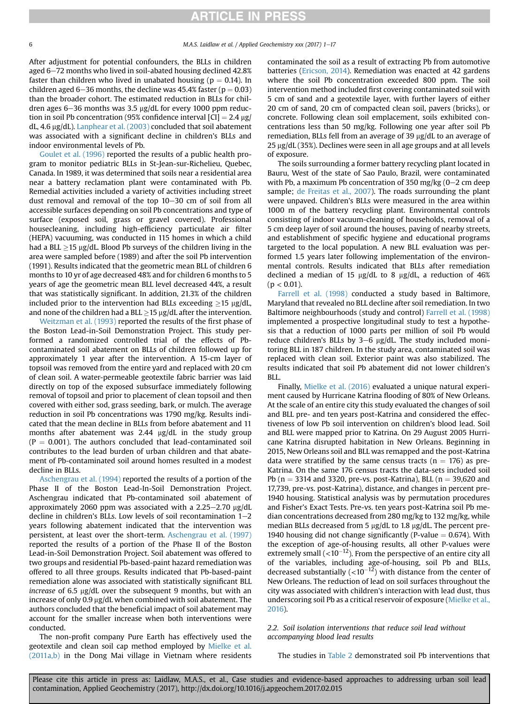After adjustment for potential confounders, the BLLs in children aged 6–72 months who lived in soil-abated housing declined 42.8% faster than children who lived in unabated housing ( $p = 0.14$ ). In children aged 6-36 months, the decline was 45.4% faster ( $p = 0.03$ ) than the broader cohort. The estimated reduction in BLLs for children ages 6-36 months was 3.5  $\mu$ g/dL for every 1000 ppm reduction in soil Pb concentration (95% confidence interval  $|CI| = 2.4 \text{ µg}$ ) dL, 4.6  $\mu$ g/dL). [Lanphear et al. \(2003\)](#page-14-0) concluded that soil abatement was associated with a significant decline in children's BLLs and indoor environmental levels of Pb.

[Goulet et al. \(1996\)](#page-13-0) reported the results of a public health program to monitor pediatric BLLs in St-Jean-sur-Richelieu, Quebec, Canada. In 1989, it was determined that soils near a residential area near a battery reclamation plant were contaminated with Pb. Remedial activities included a variety of activities including street dust removal and removal of the top  $10-30$  cm of soil from all accessible surfaces depending on soil Pb concentrations and type of surface (exposed soil, grass or gravel covered). Professional housecleaning, including high-efficiency particulate air filter (HEPA) vacuuming, was conducted in 115 homes in which a child had a BLL  $\geq$ 15 µg/dL. Blood Pb surveys of the children living in the area were sampled before (1989) and after the soil Pb intervention (1991). Results indicated that the geometric mean BLL of children 6 months to 10 yr of age decreased 48% and for children 6 months to 5 years of age the geometric mean BLL level decreased 44%, a result that was statistically significant. In addition, 21.3% of the children included prior to the intervention had BLLs exceeding  $\geq$ 15 µg/dL, and none of the children had a BLL  $\geq$  15 µg/dL after the intervention.

[Weitzman et al. \(1993\)](#page-15-0) reported the results of the first phase of the Boston Lead-in-Soil Demonstration Project. This study performed a randomized controlled trial of the effects of Pbcontaminated soil abatement on BLLs of children followed up for approximately 1 year after the intervention. A 15-cm layer of topsoil was removed from the entire yard and replaced with 20 cm of clean soil. A water-permeable geotextile fabric barrier was laid directly on top of the exposed subsurface immediately following removal of topsoil and prior to placement of clean topsoil and then covered with either sod, grass seeding, bark, or mulch. The average reduction in soil Pb concentrations was 1790 mg/kg. Results indicated that the mean decline in BLLs from before abatement and 11 months after abatement was 2.44 µg/dL in the study group  $(P = 0.001)$ . The authors concluded that lead-contaminated soil contributes to the lead burden of urban children and that abatement of Pb-contaminated soil around homes resulted in a modest decline in BLLs.

[Aschengrau et al. \(1994\)](#page-12-0) reported the results of a portion of the Phase II of the Boston Lead-In-Soil Demonstration Project. Aschengrau indicated that Pb-contaminated soil abatement of approximately 2060 ppm was associated with a  $2.25-2.70$  µg/dL decline in children's BLLs. Low levels of soil recontamination  $1-2$ years following abatement indicated that the intervention was persistent, at least over the short-term. [Aschengrau et al. \(1997\)](#page-13-0) reported the results of a portion of the Phase II of the Boston Lead-in-Soil Demonstration Project. Soil abatement was offered to two groups and residential Pb-based-paint hazard remediation was offered to all three groups. Results indicated that Pb-based-paint remediation alone was associated with statistically significant BLL increase of 6.5  $\mu$ g/dL over the subsequent 9 months, but with an increase of only  $0.9 \mu g/dL$  when combined with soil abatement. The authors concluded that the beneficial impact of soil abatement may account for the smaller increase when both interventions were conducted.

The non-profit company Pure Earth has effectively used the geotextile and clean soil cap method employed by [Mielke et al.](#page-14-0)  $(2011a,b)$  in the Dong Mai village in Vietnam where residents contaminated the soil as a result of extracting Pb from automotive batteries ([Ericson, 2014](#page-13-0)). Remediation was enacted at 42 gardens where the soil Pb concentration exceeded 800 ppm. The soil intervention method included first covering contaminated soil with 5 cm of sand and a geotextile layer, with further layers of either 20 cm of sand, 20 cm of compacted clean soil, pavers (bricks), or concrete. Following clean soil emplacement, soils exhibited concentrations less than 50 mg/kg. Following one year after soil Pb remediation, BLLs fell from an average of 39  $\mu$ g/dL to an average of  $25 \mu g/dL (35\%)$ . Declines were seen in all age groups and at all levels of exposure.

The soils surrounding a former battery recycling plant located in Bauru, West of the state of Sao Paulo, Brazil, were contaminated with Pb, a maximum Pb concentration of 350 mg/kg  $(0-2 \text{ cm} \text{ deep})$ sample; [de Freitas et al., 2007\)](#page-13-0). The roads surrounding the plant were unpaved. Children's BLLs were measured in the area within 1000 m of the battery recycling plant. Environmental controls consisting of indoor vacuum-cleaning of households, removal of a 5 cm deep layer of soil around the houses, paving of nearby streets, and establishment of specific hygiene and educational programs targeted to the local population. A new BLL evaluation was performed 1.5 years later following implementation of the environmental controls. Results indicated that BLLs after remediation declined a median of 15  $\mu$ g/dL to 8  $\mu$ g/dL, a reduction of 46%  $(p < 0.01)$ .

[Farrell et al. \(1998\)](#page-13-0) conducted a study based in Baltimore, Maryland that revealed no BLL decline after soil remediation. In two Baltimore neighbourhoods (study and control) [Farrell et al. \(1998\)](#page-13-0) implemented a prospective longitudinal study to test a hypothesis that a reduction of 1000 parts per million of soil Pb would reduce children's BLLs by  $3-6$  µg/dL. The study included monitoring BLL in 187 children. In the study area, contaminated soil was replaced with clean soil. Exterior paint was also stabilized. The results indicated that soil Pb abatement did not lower children's BLL.

Finally, [Mielke et al. \(2016\)](#page-14-0) evaluated a unique natural experiment caused by Hurricane Katrina flooding of 80% of New Orleans. At the scale of an entire city this study evaluated the changes of soil and BLL pre- and ten years post-Katrina and considered the effectiveness of low Pb soil intervention on children's blood lead. Soil and BLL were mapped prior to Katrina. On 29 August 2005 Hurricane Katrina disrupted habitation in New Orleans. Beginning in 2015, New Orleans soil and BLL was remapped and the post-Katrina data were stratified by the same census tracts ( $n = 176$ ) as pre-Katrina. On the same 176 census tracts the data-sets included soil Pb ( $n = 3314$  and 3320, pre-vs. post-Katrina), BLL ( $n = 39,620$  and 17,739, pre-vs. post-Katrina), distance, and changes in percent pre-1940 housing. Statistical analysis was by permutation procedures and Fisher's Exact Tests. Pre-vs. ten years post-Katrina soil Pb median concentrations decreased from 280 mg/kg to 132 mg/kg, while median BLLs decreased from 5  $\mu$ g/dL to 1.8  $\mu$ g/dL. The percent pre-1940 housing did not change significantly (P-value  $= 0.674$ ). With the exception of age-of-housing results, all other P-values were extremely small  $(<10^{-12})$ . From the perspective of an entire city all of the variables, including age-of-housing, soil Pb and BLLs, decreased substantially  $(<10^{-12})$  with distance from the center of New Orleans. The reduction of lead on soil surfaces throughout the city was associated with children's interaction with lead dust, thus underscoring soil Pb as a critical reservoir of exposure ([Mielke et al.,](#page-14-0) [2016\)](#page-14-0).

# 2.2. Soil isolation interventions that reduce soil lead without accompanying blood lead results

The studies in [Table 2](#page-6-0) demonstrated soil Pb interventions that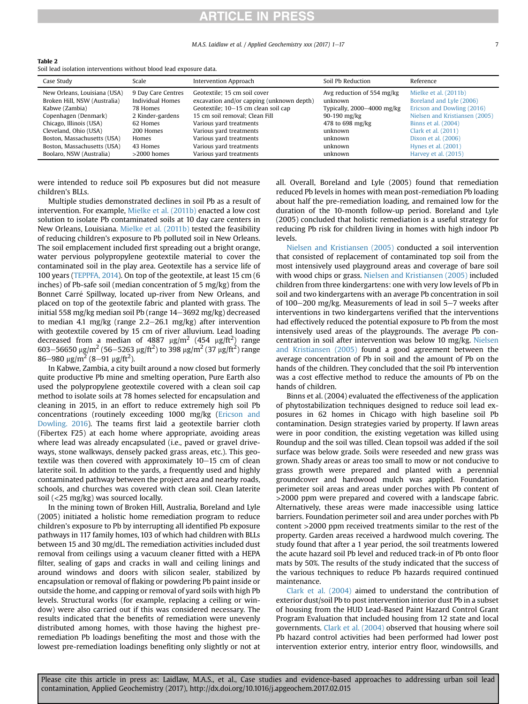#### M.A.S. Laidlaw et al. / Applied Geochemistry xxx (2017) 1e17 7

<span id="page-6-0"></span>

|--|--|

Soil lead isolation interventions without blood lead exposure data.

| Avg reduction of 554 mg/kg<br>Mielke et al. (2011b)<br>New Orleans, Louisiana (USA)<br>Geotextile: 15 cm soil cover<br>9 Day Care Centres<br>Individual Homes<br>excavation and/or capping (unknown depth)<br>Broken Hill, NSW (Australia)<br>Boreland and Lyle (2006)<br>unknown<br>Geotextile; 10-15 cm clean soil cap<br>Kabwe (Zambia)<br>Typically, 2000-4000 mg/kg<br>78 Homes                                                                                                                                                                                                                                               | Case Study | Scale | Intervention Approach | Soil Pb Reduction | Reference                                                    |  |
|------------------------------------------------------------------------------------------------------------------------------------------------------------------------------------------------------------------------------------------------------------------------------------------------------------------------------------------------------------------------------------------------------------------------------------------------------------------------------------------------------------------------------------------------------------------------------------------------------------------------------------|------------|-------|-----------------------|-------------------|--------------------------------------------------------------|--|
| 15 cm soil removal: Clean Fill<br>Copenhagen (Denmark)<br>2 Kinder-gardens<br>90-190 mg/kg<br>Chicago, Illinois (USA)<br>Various yard treatments<br>478 to 698 mg/kg<br>Binns et al. (2004)<br>62 Homes<br>Cleveland, Ohio (USA)<br>Various yard treatments<br>Clark et al. (2011)<br>200 Homes<br>unknown<br>Boston, Massachusetts (USA)<br>Various yard treatments<br>Dixon et al. (2006)<br>unknown<br>Homes<br>Boston, Massachusetts (USA)<br>Various yard treatments<br>43 Homes<br>unknown<br>Hynes et al. (2001)<br>Various yard treatments<br>Boolaro, NSW (Australia)<br>Harvey et al. (2015)<br>$>2000$ homes<br>unknown |            |       |                       |                   | Ericson and Dowling (2016)<br>Nielsen and Kristiansen (2005) |  |

were intended to reduce soil Pb exposures but did not measure children's BLLs.

Multiple studies demonstrated declines in soil Pb as a result of intervention. For example, [Mielke et al. \(2011b\)](#page-14-0) enacted a low cost solution to isolate Pb contaminated soils at 10 day care centers in New Orleans, Louisiana. [Mielke et al. \(2011b\)](#page-14-0) tested the feasibility of reducing children's exposure to Pb polluted soil in New Orleans. The soil emplacement included first spreading out a bright orange, water pervious polypropylene geotextile material to cover the contaminated soil in the play area. Geotextile has a service life of 100 years [\(TEPPFA, 2014](#page-15-0)). On top of the geotextile, at least 15 cm (6 inches) of Pb-safe soil (median concentration of 5 mg/kg) from the Bonnet Carré Spillway, located up-river from New Orleans, and placed on top of the geotextile fabric and planted with grass. The initial 558 mg/kg median soil Pb (range  $14-3692$  mg/kg) decreased to median 4.1 mg/kg (range  $2.2-26.1$  mg/kg) after intervention with geotextile covered by 15 cm of river alluvium. Lead loading decreased from a median of 4887  $\mu\text{g/m}^2$  (454  $\mu\text{g/ft}^2$ ) range  $603-56650$   $\mu$ g/m<sup>2</sup> (56–5263  $\mu$ g/ft<sup>2</sup>) to 398  $\mu$ g/m<sup>2</sup> (37  $\mu$ g/ft<sup>2</sup>) range  $86 - 980 \text{ }\mu\text{g/m}^2 \text{ (8--91 }\mu\text{g/ft}^2\text{).}$ 

In Kabwe, Zambia, a city built around a now closed but formerly quite productive Pb mine and smelting operation, Pure Earth also used the polypropylene geotextile covered with a clean soil cap method to isolate soils at 78 homes selected for encapsulation and cleaning in 2015, in an effort to reduce extremely high soil Pb concentrations (routinely exceeding 1000 mg/kg [\(Ericson and](#page-13-0) [Dowling. 2016](#page-13-0)). The teams first laid a geotextile barrier cloth (Fibertex F25) at each home where appropriate, avoiding areas where lead was already encapsulated (i.e., paved or gravel driveways, stone walkways, densely packed grass areas, etc.). This geotextile was then covered with approximately  $10-15$  cm of clean laterite soil. In addition to the yards, a frequently used and highly contaminated pathway between the project area and nearby roads, schools, and churches was covered with clean soil. Clean laterite soil (<25 mg/kg) was sourced locally.

In the mining town of Broken Hill, Australia, Boreland and Lyle (2005) initiated a holistic home remediation program to reduce children's exposure to Pb by interrupting all identified Pb exposure pathways in 117 family homes, 103 of which had children with BLLs between 15 and 30 mg/dL. The remediation activities included dust removal from ceilings using a vacuum cleaner fitted with a HEPA filter, sealing of gaps and cracks in wall and ceiling linings and around windows and doors with silicon sealer, stabilized by encapsulation or removal of flaking or powdering Pb paint inside or outside the home, and capping or removal of yard soils with high Pb levels. Structural works (for example, replacing a ceiling or window) were also carried out if this was considered necessary. The results indicated that the benefits of remediation were unevenly distributed among homes, with those having the highest preremediation Pb loadings benefiting the most and those with the lowest pre-remediation loadings benefiting only slightly or not at all. Overall, Boreland and Lyle (2005) found that remediation reduced Pb levels in homes with mean post-remediation Pb loading about half the pre-remediation loading, and remained low for the duration of the 10-month follow-up period. Boreland and Lyle (2005) concluded that holistic remediation is a useful strategy for reducing Pb risk for children living in homes with high indoor Pb levels.

[Nielsen and Kristiansen \(2005\)](#page-15-0) conducted a soil intervention that consisted of replacement of contaminated top soil from the most intensively used playground areas and coverage of bare soil with wood chips or grass. [Nielsen and Kristiansen \(2005\)](#page-15-0) included children from three kindergartens: one with very low levels of Pb in soil and two kindergartens with an average Pb concentration in soil of 100 $-200$  mg/kg. Measurements of lead in soil 5 $-7$  weeks after interventions in two kindergartens verified that the interventions had effectively reduced the potential exposure to Pb from the most intensively used areas of the playgrounds. The average Pb concentration in soil after intervention was below 10 mg/kg. [Nielsen](#page-15-0) [and Kristiansen \(2005\)](#page-15-0) found a good agreement between the average concentration of Pb in soil and the amount of Pb on the hands of the children. They concluded that the soil Pb intervention was a cost effective method to reduce the amounts of Pb on the hands of children.

Binns et al. (2004) evaluated the effectiveness of the application of phytostabilization techniques designed to reduce soil lead exposures in 62 homes in Chicago with high baseline soil Pb contamination. Design strategies varied by property. If lawn areas were in poor condition, the existing vegetation was killed using Roundup and the soil was tilled. Clean topsoil was added if the soil surface was below grade. Soils were reseeded and new grass was grown. Shady areas or areas too small to mow or not conducive to grass growth were prepared and planted with a perennial groundcover and hardwood mulch was applied. Foundation perimeter soil areas and areas under porches with Pb content of >2000 ppm were prepared and covered with a landscape fabric. Alternatively, these areas were made inaccessible using lattice barriers. Foundation perimeter soil and area under porches with Pb content >2000 ppm received treatments similar to the rest of the property. Garden areas received a hardwood mulch covering. The study found that after a 1 year period, the soil treatments lowered the acute hazard soil Pb level and reduced track-in of Pb onto floor mats by 50%. The results of the study indicated that the success of the various techniques to reduce Pb hazards required continued maintenance.

[Clark et al. \(2004\)](#page-13-0) aimed to understand the contribution of exterior dust/soil Pb to post intervention interior dust Pb in a subset of housing from the HUD Lead-Based Paint Hazard Control Grant Program Evaluation that included housing from 12 state and local governments. [Clark et al. \(2004\)](#page-13-0) observed that housing where soil Pb hazard control activities had been performed had lower post intervention exterior entry, interior entry floor, windowsills, and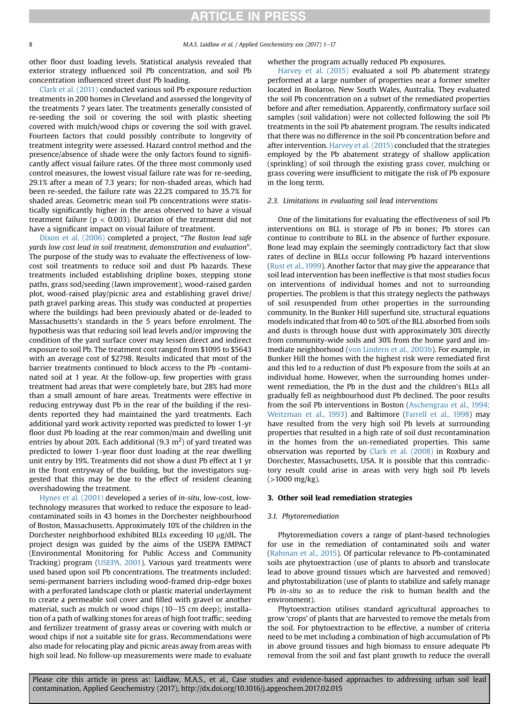other floor dust loading levels. Statistical analysis revealed that exterior strategy influenced soil Pb concentration, and soil Pb concentration influenced street dust Pb loading.

[Clark et al. \(2011\)](#page-13-0) conducted various soil Pb exposure reduction treatments in 200 homes in Cleveland and assessed the longevity of the treatments 7 years later. The treatments generally consisted of re-seeding the soil or covering the soil with plastic sheeting covered with mulch/wood chips or covering the soil with gravel. Fourteen factors that could possibly contribute to longevity of treatment integrity were assessed. Hazard control method and the presence/absence of shade were the only factors found to significantly affect visual failure rates. Of the three most commonly used control measures, the lowest visual failure rate was for re-seeding, 29.1% after a mean of 7.3 years; for non-shaded areas, which had been re-seeded, the failure rate was 22.2% compared to 35.7% for shaded areas. Geometric mean soil Pb concentrations were statistically significantly higher in the areas observed to have a visual treatment failure ( $p < 0.003$ ). Duration of the treatment did not have a significant impact on visual failure of treatment.

[Dixon et al. \(2006\)](#page-13-0) completed a project, "The Boston lead safe yards low cost lead in soil treatment, demonstration and evaluation". The purpose of the study was to evaluate the effectiveness of lowcost soil treatments to reduce soil and dust Pb hazards. These treatments included establishing dripline boxes, stepping stone paths, grass sod/seeding (lawn improvement), wood-raised garden plot, wood-raised play/picnic area and establishing gravel drive/ path gravel parking areas. This study was conducted at properties where the buildings had been previously abated or de-leaded to Massachusetts's standards in the 5 years before enrolment. The hypothesis was that reducing soil lead levels and/or improving the condition of the yard surface cover may lessen direct and indirect exposure to soil Pb. The treatment cost ranged from \$1095 to \$5643 with an average cost of \$2798. Results indicated that most of the barrier treatments continued to block access to the Pb -contaminated soil at 1 year. At the follow-up, few properties with grass treatment had areas that were completely bare, but 28% had more than a small amount of bare areas. Treatments were effective in reducing entryway dust Pb in the rear of the building if the residents reported they had maintained the yard treatments. Each additional yard work activity reported was predicted to lower 1-yr floor dust Pb loading at the rear common/main and dwelling unit entries by about 20%. Each additional (9.3  $\mathrm{m}^2$ ) of yard treated was predicted to lower 1-year floor dust loading at the rear dwelling unit entry by 19%. Treatments did not show a dust Pb effect at 1 yr in the front entryway of the building, but the investigators suggested that this may be due to the effect of resident cleaning overshadowing the treatment.

[Hynes et al. \(2001\)](#page-14-0) developed a series of in-situ, low-cost, lowtechnology measures that worked to reduce the exposure to leadcontaminated soils in 43 homes in the Dorchester neighbourhood of Boston, Massachusetts. Approximately 10% of the children in the Dorchester neighborhood exhibited BLLs exceeding 10 µg/dL. The project design was guided by the aims of the USEPA EMPACT (Environmental Monitoring for Public Access and Community Tracking) program [\(USEPA, 2001](#page-15-0)). Various yard treatments were used based upon soil Pb concentrations. The treatments included: semi-permanent barriers including wood-framed drip-edge boxes with a perforated landscape cloth or plastic material underlayment to create a permeable soil cover and filled with gravel or another material, such as mulch or wood chips  $(10-15 \text{ cm deep})$ ; installation of a path of walking stones for areas of high foot traffic; seeding and fertilizer treatment of grassy areas or covering with mulch or wood chips if not a suitable site for grass. Recommendations were also made for relocating play and picnic areas away from areas with high soil lead. No follow-up measurements were made to evaluate

### whether the program actually reduced Pb exposures.

[Harvey et al. \(2015\)](#page-14-0) evaluated a soil Pb abatement strategy performed at a large number of properties near a former smelter located in Boolaroo, New South Wales, Australia. They evaluated the soil Pb concentration on a subset of the remediated properties before and after remediation. Apparently, confirmatory surface soil samples (soil validation) were not collected following the soil Pb treatments in the soil Pb abatement program. The results indicated that there was no difference in the soil Pb concentration before and after intervention. [Harvey et al. \(2015\)](#page-14-0) concluded that the strategies employed by the Pb abatement strategy of shallow application (sprinkling) of soil through the existing grass cover, mulching or grass covering were insufficient to mitigate the risk of Pb exposure in the long term.

#### 2.3. Limitations in evaluating soil lead interventions

One of the limitations for evaluating the effectiveness of soil Pb interventions on BLL is storage of Pb in bones; Pb stores can continue to contribute to BLL in the absence of further exposure. Bone lead may explain the seemingly contradictory fact that slow rates of decline in BLLs occur following Pb hazard interventions ([Rust et al., 1999\)](#page-15-0). Another factor that may give the appearance that soil lead intervention has been ineffective is that most studies focus on interventions of individual homes and not to surrounding properties. The problem is that this strategy neglects the pathways of soil resuspended from other properties in the surrounding community. In the Bunker Hill superfund site, structural equations models indicated that from 40 to 50% of the BLL absorbed from soils and dusts is through house dust with approximately 30% directly from community-wide soils and 30% from the home yard and immediate neighborhood [\(von Lindern et al., 2003b\)](#page-15-0). For example, in Bunker Hill the homes with the highest risk were remediated first and this led to a reduction of dust Pb exposure from the soils at an individual home. However, when the surrounding homes underwent remediation, the Pb in the dust and the children's BLLs all gradually fell as neighbourhood dust Pb declined. The poor results from the soil Pb interventions in Boston ([Aschengrau et al., 1994;](#page-12-0) [Weitzman et al., 1993\)](#page-12-0) and Baltimore ([Farrell et al., 1998\)](#page-13-0) may have resulted from the very high soil Pb levels at surrounding properties that resulted in a high rate of soil dust recontamination in the homes from the un-remediated properties. This same observation was reported by [Clark et al. \(2008\)](#page-13-0) in Roxbury and Dorchester, Massachusetts, USA. It is possible that this contradictory result could arise in areas with very high soil Pb levels (>1000 mg/kg).

# 3. Other soil lead remediation strategies

### 3.1. Phytoremediation

Phytoremediation covers a range of plant-based technologies for use in the remediation of contaminated soils and water ([Rahman et al., 2015](#page-15-0)). Of particular relevance to Pb-contaminated soils are phytoextraction (use of plants to absorb and translocate lead to above ground tissues which are harvested and removed) and phytostabilization (use of plants to stabilize and safely manage Pb in-situ so as to reduce the risk to human health and the environment).

Phytoextraction utilises standard agricultural approaches to grow 'crops' of plants that are harvested to remove the metals from the soil. For phytoextraction to be effective, a number of criteria need to be met including a combination of high accumulation of Pb in above ground tissues and high biomass to ensure adequate Pb removal from the soil and fast plant growth to reduce the overall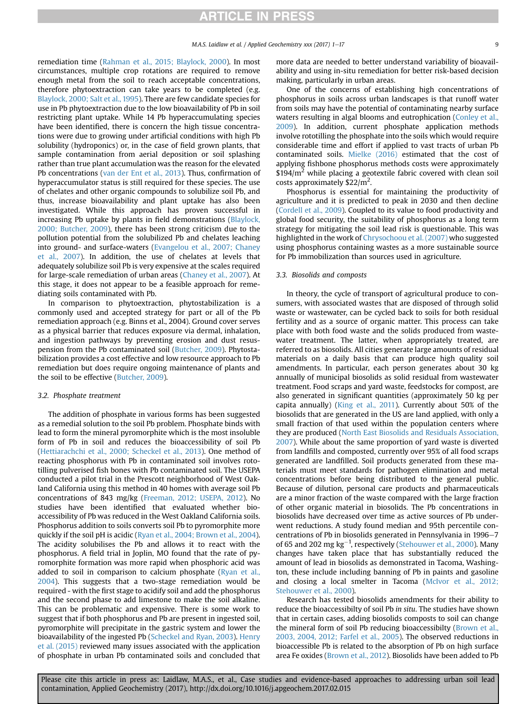remediation time ([Rahman et al., 2015; Blaylock, 2000](#page-15-0)). In most circumstances, multiple crop rotations are required to remove enough metal from the soil to reach acceptable concentrations, therefore phytoextraction can take years to be completed (e.g. [Blaylock, 2000; Salt et al., 1995](#page-13-0)). There are few candidate species for use in Pb phytoextraction due to the low bioavailability of Pb in soil restricting plant uptake. While 14 Pb hyperaccumulating species have been identified, there is concern the high tissue concentrations were due to growing under artificial conditions with high Pb solubility (hydroponics) or, in the case of field grown plants, that sample contamination from aerial deposition or soil splashing rather than true plant accumulation was the reason for the elevated Pb concentrations [\(van der Ent et al., 2013](#page-15-0)). Thus, confirmation of hyperaccumulator status is still required for these species. The use of chelates and other organic compounds to solubilize soil Pb, and thus, increase bioavailability and plant uptake has also been investigated. While this approach has proven successful in increasing Pb uptake by plants in field demonstrations [\(Blaylock,](#page-13-0) [2000; Butcher, 2009](#page-13-0)), there has been strong criticism due to the pollution potential from the solubilized Pb and chelates leaching into ground- and surface-waters [\(Evangelou et al., 2007; Chaney](#page-13-0) [et al., 2007\)](#page-13-0). In addition, the use of chelates at levels that adequately solubilize soil Pb is very expensive at the scales required for large-scale remediation of urban areas [\(Chaney et al., 2007\)](#page-13-0). At this stage, it does not appear to be a feasible approach for remediating soils contaminated with Pb.

In comparison to phytoextraction, phytostabilization is a commonly used and accepted strategy for part or all of the Pb remediation approach (e.g. Binns et al., 2004). Ground cover serves as a physical barrier that reduces exposure via dermal, inhalation, and ingestion pathways by preventing erosion and dust resuspension from the Pb contaminated soil [\(Butcher, 2009](#page-13-0)). Phytostabilization provides a cost effective and low resource approach to Pb remediation but does require ongoing maintenance of plants and the soil to be effective ([Butcher, 2009\)](#page-13-0).

#### 3.2. Phosphate treatment

The addition of phosphate in various forms has been suggested as a remedial solution to the soil Pb problem. Phosphate binds with lead to form the mineral pyromorphite which is the most insoluble form of Pb in soil and reduces the bioaccessibility of soil Pb ([Hettiarachchi et al., 2000; Scheckel et al., 2013](#page-14-0)). One method of reacting phosphorus with Pb in contaminated soil involves rototilling pulverised fish bones with Pb contaminated soil. The USEPA conducted a pilot trial in the Prescott neighborhood of West Oakland California using this method in 40 homes with average soil Pb concentrations of 843 mg/kg [\(Freeman, 2012; USEPA, 2012](#page-13-0)). No studies have been identified that evaluated whether bioaccessibility of Pb was reduced in the West Oakland California soils. Phosphorus addition to soils converts soil Pb to pyromorphite more quickly if the soil pH is acidic [\(Ryan et al., 2004; Brown et al., 2004\)](#page-15-0). The acidity solubilises the Pb and allows it to react with the phosphorus. A field trial in Joplin, MO found that the rate of pyromorphite formation was more rapid when phosphoric acid was added to soil in comparison to calcium phosphate [\(Ryan et al.,](#page-15-0) [2004\)](#page-15-0). This suggests that a two-stage remediation would be required - with the first stage to acidify soil and add the phosphorus and the second phase to add limestone to make the soil alkaline. This can be problematic and expensive. There is some work to suggest that if both phosphorus and Pb are present in ingested soil, pyromorphite will precipitate in the gastric system and lower the bioavailability of the ingested Pb [\(Scheckel and Ryan, 2003](#page-15-0)). [Henry](#page-14-0) [et al. \(2015\)](#page-14-0) reviewed many issues associated with the application of phosphate in urban Pb contaminated soils and concluded that

more data are needed to better understand variability of bioavailability and using in-situ remediation for better risk-based decision making, particularly in urban areas.

One of the concerns of establishing high concentrations of phosphorus in soils across urban landscapes is that runoff water from soils may have the potential of contaminating nearby surface waters resulting in algal blooms and eutrophication [\(Conley et al.,](#page-13-0) [2009\)](#page-13-0). In addition, current phosphate application methods involve rototilling the phosphate into the soils which would require considerable time and effort if applied to vast tracts of urban Pb contaminated soils. [Mielke \(2016\)](#page-14-0) estimated that the cost of applying fishbone phosphorus methods costs were approximately  $$194/m<sup>2</sup>$  while placing a geotextile fabric covered with clean soil costs approximately  $$22/m<sup>2</sup>$ .

Phosphorus is essential for maintaining the productivity of agriculture and it is predicted to peak in 2030 and then decline ([Cordell et al., 2009\)](#page-13-0). Coupled to its value to food productivity and global food security, the suitability of phosphorus as a long term strategy for mitigating the soil lead risk is questionable. This was highlighted in the work of [Chrysochoou et al. \(2007\)](#page-13-0) who suggested using phosphorus containing wastes as a more sustainable source for Pb immobilization than sources used in agriculture.

# 3.3. Biosolids and composts

In theory, the cycle of transport of agricultural produce to consumers, with associated wastes that are disposed of through solid waste or wastewater, can be cycled back to soils for both residual fertility and as a source of organic matter. This process can take place with both food waste and the solids produced from wastewater treatment. The latter, when appropriately treated, are referred to as biosolids. All cities generate large amounts of residual materials on a daily basis that can produce high quality soil amendments. In particular, each person generates about 30 kg annually of municipal biosolids as solid residual from wastewater treatment. Food scraps and yard waste, feedstocks for compost, are also generated in significant quantities (approximately 50 kg per capita annually) ([King et al., 2011\)](#page-14-0). Currently about 50% of the biosolids that are generated in the US are land applied, with only a small fraction of that used within the population centers where they are produced ([North East Biosolids and Residuals Association,](#page-15-0) [2007\)](#page-15-0). While about the same proportion of yard waste is diverted from landfills and composted, currently over 95% of all food scraps generated are landfilled. Soil products generated from these materials must meet standards for pathogen elimination and metal concentrations before being distributed to the general public. Because of dilution, personal care products and pharmaceuticals are a minor fraction of the waste compared with the large fraction of other organic material in biosolids. The Pb concentrations in biosolids have decreased over time as active sources of Pb underwent reductions. A study found median and 95th percentile concentrations of Pb in biosolids generated in Pennsylvania in 1996-7 of 65 and 202 mg  $kg^{-1}$ , respectively [\(Stehouwer et al., 2000](#page-15-0)). Many changes have taken place that has substantially reduced the amount of lead in biosolids as demonstrated in Tacoma, Washington, these include including banning of Pb in paints and gasoline and closing a local smelter in Tacoma [\(McIvor et al., 2012;](#page-14-0) [Stehouwer et al., 2000\)](#page-14-0).

Research has tested biosolids amendments for their ability to reduce the bioaccessibilty of soil Pb in situ. The studies have shown that in certain cases, adding biosolids composts to soil can change the mineral form of soil Pb reducing bioaccessibilty [\(Brown et al.,](#page-13-0) [2003, 2004, 2012; Farfel et al., 2005](#page-13-0)). The observed reductions in bioaccessible Pb is related to the absorption of Pb on high surface area Fe oxides [\(Brown et al., 2012\)](#page-13-0). Biosolids have been added to Pb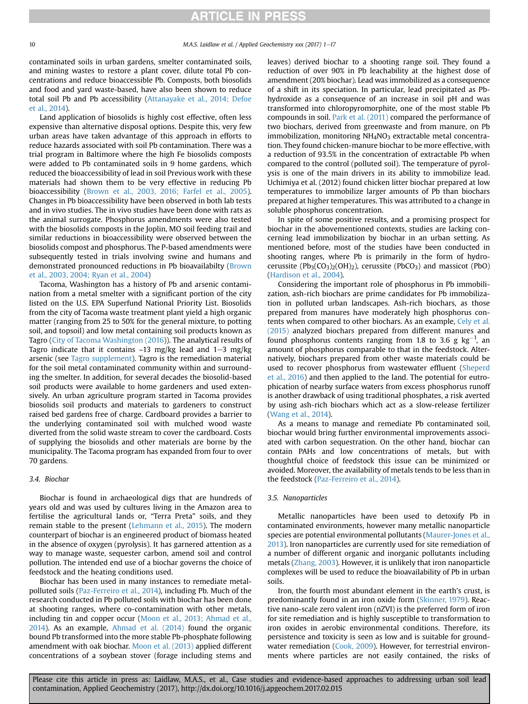contaminated soils in urban gardens, smelter contaminated soils, and mining wastes to restore a plant cover, dilute total Pb concentrations and reduce bioaccessible Pb. Composts, both biosolids and food and yard waste-based, have also been shown to reduce total soil Pb and Pb accessibility [\(Attanayake et al., 2014; Defoe](#page-13-0) [et al., 2014\)](#page-13-0).

Land application of biosolids is highly cost effective, often less expensive than alternative disposal options. Despite this, very few urban areas have taken advantage of this approach in efforts to reduce hazards associated with soil Pb contamination. There was a trial program in Baltimore where the high Fe biosolids composts were added to Pb contaminated soils in 9 home gardens, which reduced the bioaccessibility of lead in soil Previous work with these materials had shown them to be very effective in reducing Pb bioaccessibility ([Brown et al., 2003, 2016; Farfel et al., 2005\)](#page-13-0). Changes in Pb bioaccessibility have been observed in both lab tests and in vivo studies. The in vivo studies have been done with rats as the animal surrogate. Phosphorus amendments were also tested with the biosolids composts in the Joplin, MO soil feeding trail and similar reductions in bioaccessibility were observed between the biosolids compost and phosphorus. The P-based amendments were subsequently tested in trials involving swine and humans and demonstrated pronounced reductions in Pb bioavailabilty [\(Brown](#page-13-0) [et al., 2003, 2004; Ryan et al., 2004\)](#page-13-0)

Tacoma, Washington has a history of Pb and arsenic contamination from a metal smelter with a significant portion of the city listed on the U.S. EPA Superfund National Priority List. Biosolids from the city of Tacoma waste treatment plant yield a high organic matter (ranging from 25 to 50% for the general mixture, to potting soil, and topsoil) and low metal containing soil products known as Tagro ([City of Tacoma Washington \(2016\)](#page-13-0)). The analytical results of Tagro indicate that it contains  $\sim$ 13 mg/kg lead and 1–3 mg/kg arsenic (see Tagro supplement). Tagro is the remediation material for the soil metal contaminated community within and surrounding the smelter. In addition, for several decades the biosolid-based soil products were available to home gardeners and used extensively. An urban agriculture program started in Tacoma provides biosolids soil products and materials to gardeners to construct raised bed gardens free of charge. Cardboard provides a barrier to the underlying contaminated soil with mulched wood waste diverted from the solid waste stream to cover the cardboard. Costs of supplying the biosolids and other materials are borne by the municipality. The Tacoma program has expanded from four to over 70 gardens.

# 3.4. Biochar

Biochar is found in archaeological digs that are hundreds of years old and was used by cultures living in the Amazon area to fertilise the agricultural lands or, "Terra Preta" soils, and they remain stable to the present ([Lehmann et al., 2015](#page-14-0)). The modern counterpart of biochar is an engineered product of biomass heated in the absence of oxygen (pyrolysis). It has garnered attention as a way to manage waste, sequester carbon, amend soil and control pollution. The intended end use of a biochar governs the choice of feedstock and the heating conditions used.

Biochar has been used in many instances to remediate metalpolluted soils [\(Paz-Ferreiro et al., 2014](#page-15-0)), including Pb. Much of the research conducted in Pb polluted soils with biochar has been done at shooting ranges, where co-contamination with other metals, including tin and copper occur ([Moon et al., 2013; Ahmad et al.,](#page-14-0) [2014](#page-14-0)). As an example, [Ahmad et al. \(2014\)](#page-12-0) found the organic bound Pb transformed into the more stable Pb-phosphate following amendment with oak biochar. [Moon et al. \(2013\)](#page-14-0) applied different concentrations of a soybean stover (forage including stems and leaves) derived biochar to a shooting range soil. They found a reduction of over 90% in Pb leachability at the highest dose of amendment (20% biochar). Lead was immobilized as a consequence of a shift in its speciation. In particular, lead precipitated as Pbhydroxide as a consequence of an increase in soil pH and was transformed into chloropyromorphite, one of the most stable Pb compounds in soil. [Park et al. \(2011\)](#page-15-0) compared the performance of two biochars, derived from greenwaste and from manure, on Pb  $immobilization$ , monitoring  $NH<sub>4</sub>NO<sub>3</sub>$  extractable metal concentration. They found chicken-manure biochar to be more effective, with a reduction of 93.5% in the concentration of extractable Pb when compared to the control (polluted soil). The temperature of pyrolysis is one of the main drivers in its ability to immobilize lead. Uchimiya et al. (2012) found chicken litter biochar prepared at low temperatures to immobilize larger amounts of Pb than biochars prepared at higher temperatures. This was attributed to a change in soluble phosphorus concentration.

In spite of some positive results, and a promising prospect for biochar in the abovementioned contexts, studies are lacking concerning lead immobilization by biochar in an urban setting. As mentioned before, most of the studies have been conducted in shooting ranges, where Pb is primarily in the form of hydrocerussite  $(Pb_3(CO_3)_2(OH)_2)$ , cerussite  $(PbCO_3)$  and massicot  $(PbO)$ ([Hardison et al., 2004\)](#page-14-0).

Considering the important role of phosphorus in Pb immobilization, ash-rich biochars are prime candidates for Pb immobilization in polluted urban landscapes. Ash-rich biochars, as those prepared from manures have moderately high phosphorus contents when compared to other biochars. As an example, [Cely et al.](#page-13-0) [\(2015\)](#page-13-0) analyzed biochars prepared from different manures and found phosphorus contents ranging from 1.8 to 3.6 g  $\text{kg}^{-1}$ , an amount of phosphorus comparable to that in the feedstock. Alternatively, biochars prepared from other waste materials could be used to recover phosphorus from wastewater effluent ([Sheperd](#page-15-0) [et al., 2016](#page-15-0)) and then applied to the land. The potential for eutrophication of nearby surface waters from excess phosphorus runoff is another drawback of using traditional phosphates, a risk averted by using ash-rich biochars which act as a slow-release fertilizer ([Wang et al., 2014](#page-15-0)).

As a means to manage and remediate Pb contaminated soil, biochar would bring further environmental improvements associated with carbon sequestration. On the other hand, biochar can contain PAHs and low concentrations of metals, but with thoughtful choice of feedstock this issue can be minimized or avoided. Moreover, the availability of metals tends to be less than in the feedstock ([Paz-Ferreiro et al., 2014](#page-15-0)).

# 3.5. Nanoparticles

Metallic nanoparticles have been used to detoxify Pb in contaminated environments, however many metallic nanoparticle species are potential environmental pollutants ([Maurer-Jones et al.,](#page-14-0) [2013\)](#page-14-0). Iron nanoparticles are currently used for site remediation of a number of different organic and inorganic pollutants including metals [\(Zhang, 2003](#page-16-0)). However, it is unlikely that iron nanoparticle complexes will be used to reduce the bioavailability of Pb in urban soils.

Iron, the fourth most abundant element in the earth's crust, is predominantly found in an iron oxide form ([Skinner, 1979](#page-15-0)). Reactive nano-scale zero valent iron (nZVI) is the preferred form of iron for site remediation and is highly susceptible to transformation to iron oxides in aerobic environmental conditions. Therefore, its persistence and toxicity is seen as low and is suitable for ground-water remediation [\(Cook, 2009](#page-13-0)). However, for terrestrial environments where particles are not easily contained, the risks of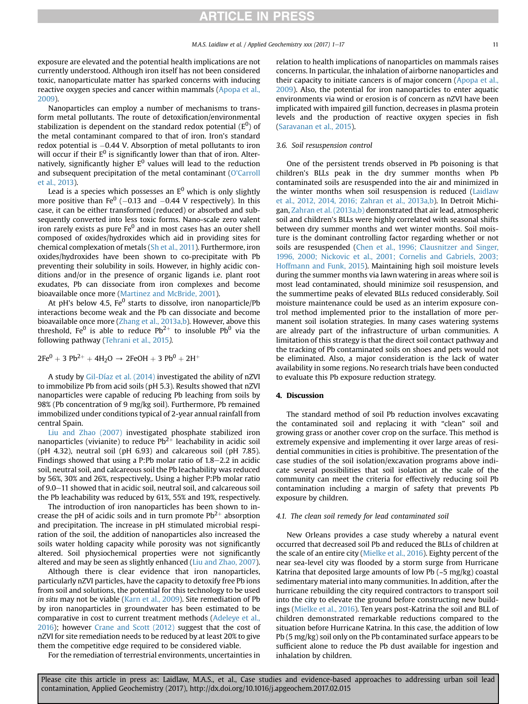<span id="page-10-0"></span>exposure are elevated and the potential health implications are not currently understood. Although iron itself has not been considered toxic, nanoparticulate matter has sparked concerns with inducing reactive oxygen species and cancer within mammals ([Apopa et al.,](#page-12-0) [2009\)](#page-12-0).

Nanoparticles can employ a number of mechanisms to transform metal pollutants. The route of detoxification/environmental stabilization is dependent on the standard redox potential (E $^0$ ) of the metal contaminant compared to that of iron. Iron's standard redox potential is  $-0.44$  V. Absorption of metal pollutants to iron will occur if their  $E^0$  is significantly lower than that of iron. Alternatively, significantly higher  $E^0$  values will lead to the reduction and subsequent precipitation of the metal contaminant ([O'Carroll](#page-15-0) [et al., 2013](#page-15-0)).

Lead is a species which possesses an  $E^0$  which is only slightly more positive than Fe<sup>0</sup> (-0.13 and -0.44 V respectively). In this case, it can be either transformed (reduced) or absorbed and subsequently converted into less toxic forms. Nano-scale zero valent iron rarely exists as pure  $Fe<sup>0</sup>$  and in most cases has an outer shell composed of oxides/hydroxides which aid in providing sites for chemical complexation of metals [\(Sh et al., 2011](#page-15-0)). Furthermore, iron oxides/hydroxides have been shown to co-precipitate with Pb preventing their solubility in soils. However, in highly acidic conditions and/or in the presence of organic ligands i.e. plant root exudates, Pb can dissociate from iron complexes and become bioavailable once more ([Martinez and McBride, 2001\)](#page-14-0).

At pH's below 4.5, Fe $^0$  starts to dissolve, iron nanoparticle/Pb interactions become weak and the Pb can dissociate and become bioavailable once more [\(Zhang et al., 2013a,b\)](#page-16-0). However, above this threshold, Fe<sup>0</sup> is able to reduce  $Pb^{2+}$  to insoluble Pb<sup>0</sup> via the following pathway ([Tehrani et al., 2015](#page-15-0)).

 $2Fe^{0} + 3 Pb^{2+} + 4H_{2}O \rightarrow 2FeOH + 3 Pb^{0} + 2H^{+}$ 

A study by [Gil-Díaz et al. \(2014\)](#page-13-0) investigated the ability of nZVI to immobilize Pb from acid soils (pH 5.3). Results showed that nZVI nanoparticles were capable of reducing Pb leaching from soils by 98% (Pb concentration of 9 mg/kg soil). Furthermore, Pb remained immobilized under conditions typical of 2-year annual rainfall from central Spain.

[Liu and Zhao \(2007\)](#page-14-0) investigated phosphate stabilized iron nanoparticles (vivianite) to reduce  $Pb^{2+}$  leachability in acidic soil (pH 4.32), neutral soil (pH 6.93) and calcareous soil (pH 7.85). Findings showed that using a P:Pb molar ratio of  $1.8-2.2$  in acidic soil, neutral soil, and calcareous soil the Pb leachability was reduced by 56%, 30% and 26%, respectively,. Using a higher P:Pb molar ratio of 9.0–11 showed that in acidic soil, neutral soil, and calcareous soil the Pb leachability was reduced by 61%, 55% and 19%, respectively.

The introduction of iron nanoparticles has been shown to increase the pH of acidic soils and in turn promote  $Pb^{2+}$  absorption and precipitation. The increase in pH stimulated microbial respiration of the soil, the addition of nanoparticles also increased the soils water holding capacity while porosity was not significantly altered. Soil physiochemical properties were not significantly altered and may be seen as slightly enhanced [\(Liu and Zhao, 2007\)](#page-14-0).

Although there is clear evidence that iron nanoparticles, particularly nZVI particles, have the capacity to detoxify free Pb ions from soil and solutions, the potential for this technology to be used in situ may not be viable [\(Karn et al., 2009](#page-14-0)). Site remediation of Pb by iron nanoparticles in groundwater has been estimated to be comparative in cost to current treatment methods [\(Adeleye et al.,](#page-12-0) [2016\)](#page-12-0); however [Crane and Scott \(2012\)](#page-13-0) suggest that the cost of nZVI for site remediation needs to be reduced by at least 20% to give them the competitive edge required to be considered viable.

For the remediation of terrestrial environments, uncertainties in

relation to health implications of nanoparticles on mammals raises concerns. In particular, the inhalation of airborne nanoparticles and their capacity to initiate cancers is of major concern [\(Apopa et al.,](#page-12-0) [2009\)](#page-12-0). Also, the potential for iron nanoparticles to enter aquatic environments via wind or erosion is of concern as nZVI have been implicated with impaired gill function, decreases in plasma protein levels and the production of reactive oxygen species in fish ([Saravanan et al., 2015\)](#page-15-0).

# 3.6. Soil resuspension control

One of the persistent trends observed in Pb poisoning is that children's BLLs peak in the dry summer months when Pb contaminated soils are resuspended into the air and minimized in the winter months when soil resuspension is reduced [\(Laidlaw](#page-14-0) [et al., 2012, 2014, 2016; Zahran et al., 2013a,b](#page-14-0)). In Detroit Michi-gan, [Zahran et al. \(2013a,b\)](#page-16-0) demonstrated that air lead, atmospheric soil and children's BLLs were highly correlated with seasonal shifts between dry summer months and wet winter months. Soil moisture is the dominant controlling factor regarding whether or not soils are resuspended ([Chen et al., 1996; Clausnitzer and Singer,](#page-13-0) [1996, 2000; Nickovic et al., 2001; Cornelis and Gabriels, 2003;](#page-13-0) [Hoffmann and Funk, 2015](#page-13-0)). Maintaining high soil moisture levels during the summer months via lawn watering in areas where soil is most lead contaminated, should minimize soil resuspension, and the summertime peaks of elevated BLLs reduced considerably. Soil moisture maintenance could be used as an interim exposure control method implemented prior to the installation of more permanent soil isolation strategies. In many cases watering systems are already part of the infrastructure of urban communities. A limitation of this strategy is that the direct soil contact pathway and the tracking of Pb contaminated soils on shoes and pets would not be eliminated. Also, a major consideration is the lack of water availability in some regions. No research trials have been conducted to evaluate this Pb exposure reduction strategy.

### 4. Discussion

The standard method of soil Pb reduction involves excavating the contaminated soil and replacing it with "clean" soil and growing grass or another cover crop on the surface. This method is extremely expensive and implementing it over large areas of residential communities in cities is prohibitive. The presentation of the case studies of the soil isolation/excavation programs above indicate several possibilities that soil isolation at the scale of the community can meet the criteria for effectively reducing soil Pb contamination including a margin of safety that prevents Pb exposure by children.

### 4.1. The clean soil remedy for lead contaminated soil

New Orleans provides a case study whereby a natural event occurred that decreased soil Pb and reduced the BLLs of children at the scale of an entire city ([Mielke et al., 2016](#page-14-0)). Eighty percent of the near sea-level city was flooded by a storm surge from Hurricane Katrina that deposited large amounts of low Pb  $(-5 \text{ mg/kg})$  coastal sedimentary material into many communities. In addition, after the hurricane rebuilding the city required contractors to transport soil into the city to elevate the ground before constructing new buildings [\(Mielke et al., 2016](#page-14-0)). Ten years post-Katrina the soil and BLL of children demonstrated remarkable reductions compared to the situation before Hurricane Katrina. In this case, the addition of low Pb (5 mg/kg) soil only on the Pb contaminated surface appears to be sufficient alone to reduce the Pb dust available for ingestion and inhalation by children.

Please cite this article in press as: Laidlaw, M.A.S., et al., Case studies and evidence-based approaches to addressing urban soil lead contamination, Applied Geochemistry (2017), http://dx.doi.org/10.1016/j.apgeochem.2017.02.015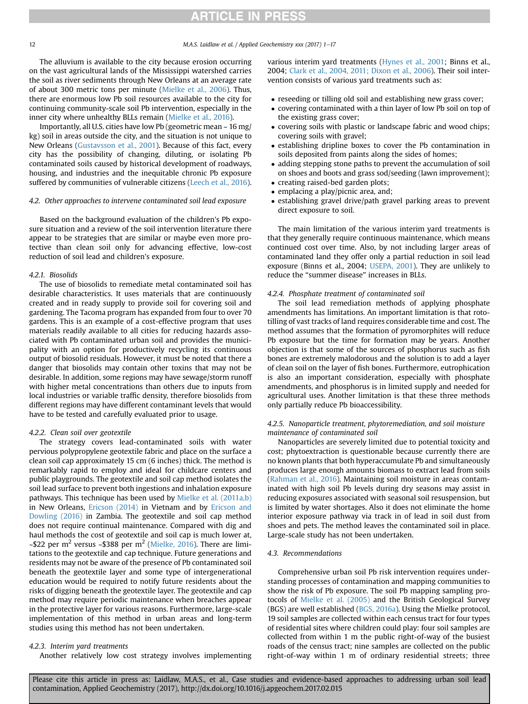12 M.A.S. Laidlaw et al. / Applied Geochemistry xxx (2017) 1-17

The alluvium is available to the city because erosion occurring on the vast agricultural lands of the Mississippi watershed carries the soil as river sediments through New Orleans at an average rate of about 300 metric tons per minute ([Mielke et al., 2006\)](#page-14-0). Thus, there are enormous low Pb soil resources available to the city for continuing community-scale soil Pb intervention, especially in the inner city where unhealthy BLLs remain [\(Mielke et al., 2016](#page-14-0)).

Importantly, all U.S. cities have low Pb (geometric mean ~ 16 mg/ kg) soil in areas outside the city, and the situation is not unique to New Orleans ([Gustavsson et al., 2001\)](#page-14-0). Because of this fact, every city has the possibility of changing, diluting, or isolating Pb contaminated soils caused by historical development of roadways, housing, and industries and the inequitable chronic Pb exposure suffered by communities of vulnerable citizens ([Leech et al., 2016\)](#page-14-0).

#### 4.2. Other approaches to intervene contaminated soil lead exposure

Based on the background evaluation of the children's Pb exposure situation and a review of the soil intervention literature there appear to be strategies that are similar or maybe even more protective than clean soil only for advancing effective, low-cost reduction of soil lead and children's exposure.

### 4.2.1. Biosolids

The use of biosolids to remediate metal contaminated soil has desirable characteristics. It uses materials that are continuously created and in ready supply to provide soil for covering soil and gardening. The Tacoma program has expanded from four to over 70 gardens. This is an example of a cost-effective program that uses materials readily available to all cities for reducing hazards associated with Pb contaminated urban soil and provides the municipality with an option for productively recycling its continuous output of biosolid residuals. However, it must be noted that there a danger that biosolids may contain other toxins that may not be desirable. In addition, some regions may have sewage/storm runoff with higher metal concentrations than others due to inputs from local industries or variable traffic density, therefore biosolids from different regions may have different contaminant levels that would have to be tested and carefully evaluated prior to usage.

### 4.2.2. Clean soil over geotextile

The strategy covers lead-contaminated soils with water pervious polypropylene geotextile fabric and place on the surface a clean soil cap approximately 15 cm (6 inches) thick. The method is remarkably rapid to employ and ideal for childcare centers and public playgrounds. The geotextile and soil cap method isolates the soil lead surface to prevent both ingestions and inhalation exposure pathways. This technique has been used by [Mielke et al. \(2011a,b\)](#page-14-0) in New Orleans, [Ericson \(2014\)](#page-13-0) in Vietnam and by [Ericson and](#page-13-0) [Dowling \(2016\)](#page-13-0) in Zambia. The geotextile and soil cap method does not require continual maintenance. Compared with dig and haul methods the cost of geotextile and soil cap is much lower at,  $\sim$ \$22 per m<sup>2</sup> versus  $\sim$ \$388 per m<sup>2</sup> ([Mielke, 2016](#page-14-0)). There are limitations to the geotextile and cap technique. Future generations and residents may not be aware of the presence of Pb contaminated soil beneath the geotextile layer and some type of intergenerational education would be required to notify future residents about the risks of digging beneath the geotextile layer. The geotextile and cap method may require periodic maintenance when breaches appear in the protective layer for various reasons. Furthermore, large-scale implementation of this method in urban areas and long-term studies using this method has not been undertaken.

# 4.2.3. Interim yard treatments

Another relatively low cost strategy involves implementing

various interim yard treatments [\(Hynes et al., 2001](#page-14-0); Binns et al., 2004; [Clark et al., 2004, 2011; Dixon et al., 2006](#page-13-0)). Their soil intervention consists of various yard treatments such as:

- reseeding or tilling old soil and establishing new grass cover;
- covering contaminated with a thin layer of low Pb soil on top of the existing grass cover;
- covering soils with plastic or landscape fabric and wood chips; covering soils with gravel;
- establishing dripline boxes to cover the Pb contamination in soils deposited from paints along the sides of homes;
- adding stepping stone paths to prevent the accumulation of soil on shoes and boots and grass sod/seeding (lawn improvement);
- creating raised-bed garden plots;
- emplacing a play/picnic area, and;
- establishing gravel drive/path gravel parking areas to prevent direct exposure to soil.

The main limitation of the various interim yard treatments is that they generally require continuous maintenance, which means continued cost over time. Also, by not including larger areas of contaminated land they offer only a partial reduction in soil lead exposure (Binns et al., 2004; [USEPA, 2001](#page-15-0)). They are unlikely to reduce the "summer disease" increases in BLLs.

# 4.2.4. Phosphate treatment of contaminated soil

The soil lead remediation methods of applying phosphate amendments has limitations. An important limitation is that rototilling of vast tracks of land requires considerable time and cost. The method assumes that the formation of pyromorphites will reduce Pb exposure but the time for formation may be years. Another objection is that some of the sources of phosphorus such as fish bones are extremely malodorous and the solution is to add a layer of clean soil on the layer of fish bones. Furthermore, eutrophication is also an important consideration, especially with phosphate amendments, and phosphorus is in limited supply and needed for agricultural uses. Another limitation is that these three methods only partially reduce Pb bioaccessibility.

# 4.2.5. Nanoparticle treatment, phytoremediation, and soil moisture maintenance of contaminated soil

Nanoparticles are severely limited due to potential toxicity and cost; phytoextraction is questionable because currently there are no known plants that both hyperaccumulate Pb and simultaneously produces large enough amounts biomass to extract lead from soils ([Rahman et al., 2016](#page-15-0)). Maintaining soil moisture in areas contaminated with high soil Pb levels during dry seasons may assist in reducing exposures associated with seasonal soil resuspension, but is limited by water shortages. Also it does not eliminate the home interior exposure pathway via track in of lead in soil dust from shoes and pets. The method leaves the contaminated soil in place. Large-scale study has not been undertaken.

# 4.3. Recommendations

Comprehensive urban soil Pb risk intervention requires understanding processes of contamination and mapping communities to show the risk of Pb exposure. The soil Pb mapping sampling protocols of [Mielke et al. \(2005\)](#page-14-0) and the British Geological Survey (BGS) are well established [\(BGS, 2016a\)](#page-13-0). Using the Mielke protocol, 19 soil samples are collected within each census tract for four types of residential sites where children could play: four soil samples are collected from within 1 m the public right-of-way of the busiest roads of the census tract; nine samples are collected on the public right-of-way within 1 m of ordinary residential streets; three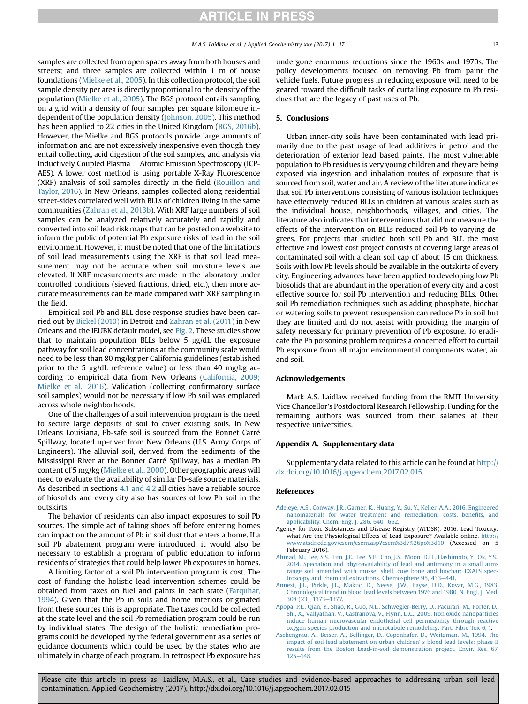<span id="page-12-0"></span>samples are collected from open spaces away from both houses and streets; and three samples are collected within 1 m of house foundations ([Mielke et al., 2005\)](#page-14-0). In this collection protocol, the soil sample density per area is directly proportional to the density of the population ([Mielke et al., 2005](#page-14-0)). The BGS protocol entails sampling on a grid with a density of four samples per square kilometre independent of the population density ([Johnson, 2005](#page-14-0)). This method has been applied to 22 cities in the United Kingdom [\(BGS, 2016b\)](#page-13-0). However, the Mielke and BGS protocols provide large amounts of information and are not excessively inexpensive even though they entail collecting, acid digestion of the soil samples, and analysis via Inductively Coupled Plasma – Atomic Emission Spectroscopy (ICP-AES). A lower cost method is using portable X-Ray Fluorescence (XRF) analysis of soil samples directly in the field [\(Rouillon and](#page-15-0) [Taylor, 2016](#page-15-0)). In New Orleans, samples collected along residential street-sides correlated well with BLLs of children living in the same communities ([Zahran et al., 2013b](#page-16-0)). With XRF large numbers of soil samples can be analyzed relatively accurately and rapidly and converted into soil lead risk maps that can be posted on a website to inform the public of potential Pb exposure risks of lead in the soil environment. However, it must be noted that one of the limitations of soil lead measurements using the XRF is that soil lead measurement may not be accurate when soil moisture levels are elevated. If XRF measurements are made in the laboratory under controlled conditions (sieved fractions, dried, etc.), then more accurate measurements can be made compared with XRF sampling in the field.

Empirical soil Pb and BLL dose response studies have been carried out by [Bickel \(2010\)](#page-13-0) in Detroit and [Zahran et al. \(2011\)](#page-16-0) in New Orleans and the IEUBK default model, see [Fig. 2](#page-3-0). These studies show that to maintain population BLLs below  $5 \mu g/dL$  the exposure pathway for soil lead concentrations at the community scale would need to be less than 80 mg/kg per California guidelines (established prior to the 5  $\mu$ g/dL reference value) or less than 40 mg/kg according to empirical data from New Orleans ([California, 2009;](#page-13-0) [Mielke et al., 2016](#page-13-0)). Validation (collecting confirmatory surface soil samples) would not be necessary if low Pb soil was emplaced across whole neighborhoods.

One of the challenges of a soil intervention program is the need to secure large deposits of soil to cover existing soils. In New Orleans Louisiana, Pb-safe soil is sourced from the Bonnet Carre Spillway, located up-river from New Orleans (U.S. Army Corps of Engineers). The alluvial soil, derived from the sediments of the Mississippi River at the Bonnet Carre Spillway, has a median Pb content of 5 mg/kg ([Mielke et al., 2000\)](#page-14-0). Other geographic areas will need to evaluate the availability of similar Pb-safe source materials. As described in sections [4.1 and 4.2](#page-10-0) all cities have a reliable source of biosolids and every city also has sources of low Pb soil in the outskirts.

The behavior of residents can also impact exposures to soil Pb sources. The simple act of taking shoes off before entering homes can impact on the amount of Pb in soil dust that enters a home. If a soil Pb abatement program were introduced, it would also be necessary to establish a program of public education to inform residents of strategies that could help lower Pb exposures in homes.

A limiting factor of a soil Pb intervention program is cost. The cost of funding the holistic lead intervention schemes could be obtained from taxes on fuel and paints in each state ([Farquhar,](#page-13-0) [1994\)](#page-13-0). Given that the Pb in soils and home interiors originated from these sources this is appropriate. The taxes could be collected at the state level and the soil Pb remediation program could be run by individual states. The design of the holistic remediation programs could be developed by the federal government as a series of guidance documents which could be used by the states who are ultimately in charge of each program. In retrospect Pb exposure has

undergone enormous reductions since the 1960s and 1970s. The policy developments focused on removing Pb from paint the vehicle fuels. Future progress in reducing exposure will need to be geared toward the difficult tasks of curtailing exposure to Pb residues that are the legacy of past uses of Pb.

# 5. Conclusions

Urban inner-city soils have been contaminated with lead primarily due to the past usage of lead additives in petrol and the deterioration of exterior lead based paints. The most vulnerable population to Pb residues is very young children and they are being exposed via ingestion and inhalation routes of exposure that is sourced from soil, water and air. A review of the literature indicates that soil Pb interventions consisting of various isolation techniques have effectively reduced BLLs in children at various scales such as the individual house, neighborhoods, villages, and cities. The literature also indicates that interventions that did not measure the effects of the intervention on BLLs reduced soil Pb to varying degrees. For projects that studied both soil Pb and BLL the most effective and lowest cost project consists of covering large areas of contaminated soil with a clean soil cap of about 15 cm thickness. Soils with low Pb levels should be available in the outskirts of every city. Engineering advances have been applied to developing low Pb biosolids that are abundant in the operation of every city and a cost effective source for soil Pb intervention and reducing BLLs. Other soil Pb remediation techniques such as adding phosphate, biochar or watering soils to prevent resuspension can reduce Pb in soil but they are limited and do not assist with providing the margin of safety necessary for primary prevention of Pb exposure. To eradicate the Pb poisoning problem requires a concerted effort to curtail Pb exposure from all major environmental components water, air and soil.

### Acknowledgements

Mark A.S. Laidlaw received funding from the RMIT University Vice Chancellor's Postdoctoral Research Fellowship. Funding for the remaining authors was sourced from their salaries at their respective universities.

### Appendix A. Supplementary data

Supplementary data related to this article can be found at [http://](http://dx.doi.org/10.1016/j.apgeochem.2017.02.015) [dx.doi.org/10.1016/j.apgeochem.2017.02.015](http://dx.doi.org/10.1016/j.apgeochem.2017.02.015).

#### References

- [Adeleye, A.S., Conway, J.R., Garner, K., Huang, Y., Su, Y., Keller, A.A., 2016. Engineered](http://refhub.elsevier.com/S0883-2927(17)30173-7/sref1) [nanomaterials for water treatment and remediation: costs, bene](http://refhub.elsevier.com/S0883-2927(17)30173-7/sref1)fits, and [applicability. Chem. Eng. J. 286, 640](http://refhub.elsevier.com/S0883-2927(17)30173-7/sref1)-[662](http://refhub.elsevier.com/S0883-2927(17)30173-7/sref1).
- Agency for Toxic Substances and Disease Registry (ATDSR), 2016. Lead Toxicity: what Are the Physiological Effects of Lead Exposure? Available online. http: [www.atsdr.cdc.gov/csem/csem.asp?csem%3d7%26po%3d10](http://www.atsdr.cdc.gov/csem/csem.asp?csem%3d7%26po%3d10) (Accessed on 5 February 2016).
- [Ahmad, M., Lee, S.S., Lim, J.E., Lee, S.E., Cho, J.S., Moon, D.H., Hashimoto, Y., Ok, Y.S.,](http://refhub.elsevier.com/S0883-2927(17)30173-7/sref3) [2014. Speciation and phytoavailability of lead and antimony in a small arms](http://refhub.elsevier.com/S0883-2927(17)30173-7/sref3) [range soil amended with mussel shell, cow bone and biochar: EXAFS spec](http://refhub.elsevier.com/S0883-2927(17)30173-7/sref3)[troscopy and chemical extractions. Chemosphere 95, 433](http://refhub.elsevier.com/S0883-2927(17)30173-7/sref3)-[441.](http://refhub.elsevier.com/S0883-2927(17)30173-7/sref3)
- [Annest, J.L., Pirkle, J.L., Makuc, D., Neese, J.W., Bayse, D.D., Kovar, M.G., 1983.](http://refhub.elsevier.com/S0883-2927(17)30173-7/sref4) [Chronological trend in blood lead levels between 1976 and 1980. N. Engl. J. Med.](http://refhub.elsevier.com/S0883-2927(17)30173-7/sref4) [308 \(23\), 1373](http://refhub.elsevier.com/S0883-2927(17)30173-7/sref4)-[1377.](http://refhub.elsevier.com/S0883-2927(17)30173-7/sref4)
- [Apopa, P.L., Qian, Y., Shao, R., Guo, N.L., Schwegler-Berry, D., Pacurari, M., Porter, D.,](http://refhub.elsevier.com/S0883-2927(17)30173-7/sref5) [Shi, X., Vallyathan, V., Castranova, V., Flynn, D.C., 2009. Iron oxide nanoparticles](http://refhub.elsevier.com/S0883-2927(17)30173-7/sref5) [induce human microvascular endothelial cell permeability through reactive](http://refhub.elsevier.com/S0883-2927(17)30173-7/sref5) [oxygen species production and microtubule remodeling. Part. Fibre Tox 6, 1.](http://refhub.elsevier.com/S0883-2927(17)30173-7/sref5)
- [Aschengrau, A., Beiser, A., Bellinger, D., Copenhafer, D., Weitzman, M., 1994. The](http://refhub.elsevier.com/S0883-2927(17)30173-7/sref6) [impact of soil lead abatement on urban children' s blood lead levels: phase II](http://refhub.elsevier.com/S0883-2927(17)30173-7/sref6) [results from the Boston Lead-in-soil demonstration project. Envir. Res. 67,](http://refhub.elsevier.com/S0883-2927(17)30173-7/sref6)  $125 - 148.$  $125 - 148.$  $125 - 148.$  $125 - 148.$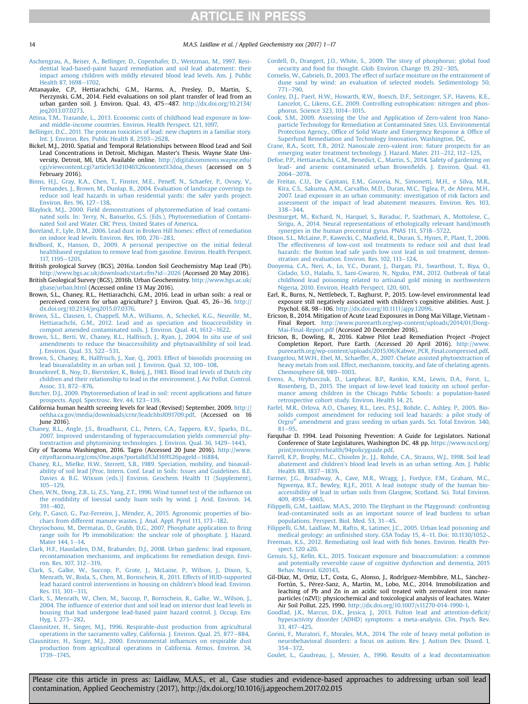14 M.A.S. Laidlaw et al. / Applied Geochemistry xxx (2017) 1–17

- [Aschengrau, A., Beiser, A., Bellinger, D., Copenhafer, D., Weitzman, M., 1997. Resi](http://refhub.elsevier.com/S0883-2927(17)30173-7/sref7)[dential lead-based-paint hazard remediation and soil lead abatement: their](http://refhub.elsevier.com/S0883-2927(17)30173-7/sref7) [impact among children with mildly elevated blood lead levels. Am. J. Public](http://refhub.elsevier.com/S0883-2927(17)30173-7/sref7) [Health 87, 1698](http://refhub.elsevier.com/S0883-2927(17)30173-7/sref7)-[1702.](http://refhub.elsevier.com/S0883-2927(17)30173-7/sref7)
- Attanayake, C.P., Hettiarachchi, G.M., Harms, A., Presley, D., Martin, S., Pierzynski, G.M., 2014. Field evaluations on soil plant transfer of lead from an urban garden soil. J. Environ. Qual. 43, 475-487. [http://dx.doi.org/10.2134/](http://dx.doi.org/10.2134/jeq2013.07.0273) [jeq2013.07.0273.](http://dx.doi.org/10.2134/jeq2013.07.0273)
- [Attina, T.M., Trasande, L., 2013. Economic costs of childhood lead exposure in low](http://refhub.elsevier.com/S0883-2927(17)30173-7/sref9)[and middle-income countries. Environ. Health Perspect. 121, 1097.](http://refhub.elsevier.com/S0883-2927(17)30173-7/sref9)
- [Bellinger, D.C., 2011. The protean toxicities of lead: new chapters in a familiar story.](http://refhub.elsevier.com/S0883-2927(17)30173-7/sref10) [Int. J. Environ. Res. Public Health 8, 2593](http://refhub.elsevier.com/S0883-2927(17)30173-7/sref10)–[2628.](http://refhub.elsevier.com/S0883-2927(17)30173-7/sref10)
- Bickel, M.J., 2010. Spatial and Temporal Relationships between Blood Lead and Soil Lead Concentrations in Detroit, Michigan. Master's Thesis. Wayne State University, Detroit, MI, USA. Available online. [http://digitalcommons.wayne.edu/](http://digitalcommons.wayne.edu/cgi/viewcontent.cgi?article%3d1046%26context%3doa_theses) [cgi/viewcontent.cgi?article%3d1046%26context%3doa\\_theses](http://digitalcommons.wayne.edu/cgi/viewcontent.cgi?article%3d1046%26context%3doa_theses) (accessed on 5 February 2016).
- [Binns, H.J., Gray, K.A., Chen, T., Finster, M.E., Peneff, N., Schaefer, P., Ovsey, V.,](http://refhub.elsevier.com/S0883-2927(17)30173-7/sref185) [Fernandes, J., Brown, M., Dunlap, B., 2004. Evaluation of landscape coverings to](http://refhub.elsevier.com/S0883-2927(17)30173-7/sref185) [reduce soil lead hazards in urban residential yards: the safer yards project.](http://refhub.elsevier.com/S0883-2927(17)30173-7/sref185) [Environ. Res. 96, 127](http://refhub.elsevier.com/S0883-2927(17)30173-7/sref185)-[138.](http://refhub.elsevier.com/S0883-2927(17)30173-7/sref185)
- [Blaylock, M.J., 2000. Field demonstrations of phytoremediation of lead contami-](http://refhub.elsevier.com/S0883-2927(17)30173-7/sref12)[nated soils. In: Terry, N., Banuelos, G.S. \(Eds.\), Phytoremediation of Contami](http://refhub.elsevier.com/S0883-2927(17)30173-7/sref12)[nated Soil and Water. CRC Press, United States of America.](http://refhub.elsevier.com/S0883-2927(17)30173-7/sref12)
- [Boreland, F., Lyle, D.M., 2006. Lead dust in Broken Hill homes: effect of remediation](http://refhub.elsevier.com/S0883-2927(17)30173-7/sref14) [on indoor lead levels. Environ. Res. 100, 276](http://refhub.elsevier.com/S0883-2927(17)30173-7/sref14)-[283.](http://refhub.elsevier.com/S0883-2927(17)30173-7/sref14)
- [Bridbord, K., Hanson, D., 2009. A personal perspective on the initial federal](http://refhub.elsevier.com/S0883-2927(17)30173-7/sref15) [healthbased regulation to remove lead from gasoline. Environ. Health Perspect.](http://refhub.elsevier.com/S0883-2927(17)30173-7/sref15) [117, 1195](http://refhub.elsevier.com/S0883-2927(17)30173-7/sref15)-[1201.](http://refhub.elsevier.com/S0883-2927(17)30173-7/sref15)
- British geological Survey (BGS), 2016a. London Soil Geochemistry Map Lead (Pb). [http://www.bgs.ac.uk/downloads/start.cfm?id](http://www.bgs.ac.uk/downloads/start.cfm?id=2026)=[2026](http://www.bgs.ac.uk/downloads/start.cfm?id=2026) (Accessed 20 May 2016).
- British Geological Survey (BGS), 2016b. Urban Geochemistry. [http://www.bgs.ac.uk/](http://www.bgs.ac.uk/gbase/urban.html) [gbase/urban.html](http://www.bgs.ac.uk/gbase/urban.html) (Accessed online 13 May 2016). Brown, S.L., Chaney, R.L., Hettiarachchi, G.M., 2016. Lead in urban soils: a real or
- perceived concern for urban agriculture? J. Environ. Qual. 45, 26-36. [http://](http://dx.doi.org/10.2134/jeq2015.07.0376) [dx.doi.org/10.2134/jeq2015.07.0376](http://dx.doi.org/10.2134/jeq2015.07.0376).
- [Brown, S.L., Clausen, I., Chappell, M.A., Williams, A., Scheckel, K.G., Neuville, M.,](http://refhub.elsevier.com/S0883-2927(17)30173-7/sref19) [Hettiarachchi, G.M., 2012. Lead and as speciation and bioaccessibility in](http://refhub.elsevier.com/S0883-2927(17)30173-7/sref19) [compost amended contaminated soils. J. Environ. Qual. 41, 1612](http://refhub.elsevier.com/S0883-2927(17)30173-7/sref19)-[1622.](http://refhub.elsevier.com/S0883-2927(17)30173-7/sref19)
- [Brown, S.L., Berti, W., Chaney, R.L., Halfrisch, J., Ryan, J., 2004. In situ use of soil](http://refhub.elsevier.com/S0883-2927(17)30173-7/sref20) [amendments to reduce the bioaccessibility and phytoavailibility of soil lead.](http://refhub.elsevier.com/S0883-2927(17)30173-7/sref20) [J. Environ. Qual. 33, 522](http://refhub.elsevier.com/S0883-2927(17)30173-7/sref20)-[531.](http://refhub.elsevier.com/S0883-2927(17)30173-7/sref20)
- [Brown, S., Chaney, R., Hallfrisch, J., Xue, Q., 2003. Effect of biosolids processing on](http://refhub.elsevier.com/S0883-2927(17)30173-7/sref21) [lead bioavailability in an urban soil. J. Environ. Qual. 32, 100](http://refhub.elsevier.com/S0883-2927(17)30173-7/sref21)-[108.](http://refhub.elsevier.com/S0883-2927(17)30173-7/sref21)
- [Brunekreef, B., Noy, D., Biersteker, K., Boleij, J., 1983. Blood lead levels of Dutch city](http://refhub.elsevier.com/S0883-2927(17)30173-7/sref22) [children and their relationship to lead in the environment. J. Air Pollut. Control.](http://refhub.elsevier.com/S0883-2927(17)30173-7/sref22) [Assoc. 33, 872](http://refhub.elsevier.com/S0883-2927(17)30173-7/sref22)-[876](http://refhub.elsevier.com/S0883-2927(17)30173-7/sref22).
- [Butcher, D.J., 2009. Phytoremediation of lead in soil: recent applications and future](http://refhub.elsevier.com/S0883-2927(17)30173-7/sref23) [prospects. Appl. Spectrosc. Rev. 44, 123](http://refhub.elsevier.com/S0883-2927(17)30173-7/sref23)-[139.](http://refhub.elsevier.com/S0883-2927(17)30173-7/sref23)
- California human health screeing levels for lead (Revised) September, 2009. [http://](http://oehha.ca.gov/media/downloads/crnr/leadchhsl091709.pdf) [oehha.ca.gov/media/downloads/crnr/leadchhsl091709.pdf](http://oehha.ca.gov/media/downloads/crnr/leadchhsl091709.pdf). (Accessed on 16 June 2016).
- [Chaney, R.L., Angle, J.S., Broadhurst, C.L., Peters, C.A., Tappero, R.V., Sparks, D.L.,](http://refhub.elsevier.com/S0883-2927(17)30173-7/sref25) [2007. Improved understanding of hyperaccumulation yields commercial phy](http://refhub.elsevier.com/S0883-2927(17)30173-7/sref25)[toextraction and phytomining technologies. J. Environ. Qual. 36, 1429](http://refhub.elsevier.com/S0883-2927(17)30173-7/sref25)-[1443](http://refhub.elsevier.com/S0883-2927(17)30173-7/sref25).
- City of Tacoma Washington, 2016. Tagro (Accessed 20 June 2016). [http://www.](http://www.cityoftacoma.org/cms/One.aspx?portalId%3d169%26pageId=16884) [cityoftacoma.org/cms/One.aspx?portalId%3d169%26pageId](http://www.cityoftacoma.org/cms/One.aspx?portalId%3d169%26pageId=16884)=[16884](http://www.cityoftacoma.org/cms/One.aspx?portalId%3d169%26pageId=16884).
- [Chaney, R.L., Mielke, H.W., Sterrett, S.B., 1989. Speciation, mobility, and bioavail](http://refhub.elsevier.com/S0883-2927(17)30173-7/sref27)[ability of soil lead \[Proc. Intern. Conf. Lead in Soils: Issues and Guidelines. B.E.](http://refhub.elsevier.com/S0883-2927(17)30173-7/sref27) [Davies](http://refhub.elsevier.com/S0883-2927(17)30173-7/sref27) & [B.G. Wixson \(eds.\)\] Environ. Geochem. Health 11 \(Supplement\),](http://refhub.elsevier.com/S0883-2927(17)30173-7/sref27)  $105 - 129$  $105 - 129$  $105 - 129$ .
- [Chen, W.N., Dong, Z.B., Li, Z.S., Yang, Z.T., 1996. Wind tunnel test of the in](http://refhub.elsevier.com/S0883-2927(17)30173-7/sref28)fluence on [the erodibility of loessial sandy loam soils by wind. J. Arid. Environ. 34,](http://refhub.elsevier.com/S0883-2927(17)30173-7/sref28) [391](http://refhub.elsevier.com/S0883-2927(17)30173-7/sref28)-[402.](http://refhub.elsevier.com/S0883-2927(17)30173-7/sref28)
- Cely, P., Gascó, G., Paz-Ferreiro, J., Méndez, A., 2015. Agronomic properties of bio[chars from different manure wastes. J. Anal. Appl. Pyrol 111, 173](http://refhub.elsevier.com/S0883-2927(17)30173-7/sref29)-[182.](http://refhub.elsevier.com/S0883-2927(17)30173-7/sref29)
- [Chrysochoou, M., Dermatas, D., Grubb, D.G., 2007. Phosphate application to](http://refhub.elsevier.com/S0883-2927(17)30173-7/sref30) firing [range soils for Pb immobilization: the unclear role of phosphate. J. Hazard.](http://refhub.elsevier.com/S0883-2927(17)30173-7/sref30) [Mater 144, 1](http://refhub.elsevier.com/S0883-2927(17)30173-7/sref30)-[14.](http://refhub.elsevier.com/S0883-2927(17)30173-7/sref30)
- [Clark, H.F., Hausladen, D.M., Brabander, D.J., 2008. Urban gardens: lead exposure,](http://refhub.elsevier.com/S0883-2927(17)30173-7/sref31) [recontamination mechanisms, and implications for remediation design. Envi](http://refhub.elsevier.com/S0883-2927(17)30173-7/sref31)[ron. Res. 107, 312](http://refhub.elsevier.com/S0883-2927(17)30173-7/sref31)-[319.](http://refhub.elsevier.com/S0883-2927(17)30173-7/sref31)
- [Clark, S., Galke, W., Succop, P., Grote, J., McLaine, P., Wilson, J., Dixon, S.,](http://refhub.elsevier.com/S0883-2927(17)30173-7/sref32) [Menrath, W., Roda, S., Chen, M., Bornschein, R., 2011. Effects of HUD-supported](http://refhub.elsevier.com/S0883-2927(17)30173-7/sref32) [lead hazard control interventions in housing on children's blood lead. Environ.](http://refhub.elsevier.com/S0883-2927(17)30173-7/sref32) [Res. 111, 301](http://refhub.elsevier.com/S0883-2927(17)30173-7/sref32)-[311.](http://refhub.elsevier.com/S0883-2927(17)30173-7/sref32)
- [Clark, S., Menrath, W., Chen, M., Succop, P., Bornschein, R., Galke, W., Wilson, J.,](http://refhub.elsevier.com/S0883-2927(17)30173-7/sref33) 2004. The infl[uence of exterior dust and soil lead on interior dust lead levels in](http://refhub.elsevier.com/S0883-2927(17)30173-7/sref33) [housing that had undergone lead-based paint hazard control. J. Occup. Env.](http://refhub.elsevier.com/S0883-2927(17)30173-7/sref33) [Hyg. 1, 273](http://refhub.elsevier.com/S0883-2927(17)30173-7/sref33)-[282](http://refhub.elsevier.com/S0883-2927(17)30173-7/sref33).
- [Clausnitzer, H., Singer, M.J., 1996. Respirable-dust production from agricultural](http://refhub.elsevier.com/S0883-2927(17)30173-7/sref34) [operations in the sacramento valley, California. J. Environ. Qual. 25, 877](http://refhub.elsevier.com/S0883-2927(17)30173-7/sref34)-[884](http://refhub.elsevier.com/S0883-2927(17)30173-7/sref34).
- [Clausnitzer, H., Singer, M.J., 2000. Environmental in](http://refhub.elsevier.com/S0883-2927(17)30173-7/sref35)fluences on respirable dust [production from agricultural operations in California. Atmos. Environ. 34,](http://refhub.elsevier.com/S0883-2927(17)30173-7/sref35) [1739](http://refhub.elsevier.com/S0883-2927(17)30173-7/sref35)-[1745](http://refhub.elsevier.com/S0883-2927(17)30173-7/sref35).
- [Cordell, D., Drangert, J.O., White, S., 2009. The story of phosphorus: global food](http://refhub.elsevier.com/S0883-2927(17)30173-7/sref186) [security and food for thought. Glob. Environ. Change 19, 292](http://refhub.elsevier.com/S0883-2927(17)30173-7/sref186)-[305.](http://refhub.elsevier.com/S0883-2927(17)30173-7/sref186)
- [Cornelis, W., Gabriels, D., 2003. The effect of surface moisture on the entrainment of](http://refhub.elsevier.com/S0883-2927(17)30173-7/sref36) [dune sand by wind: an evaluation of selected models. Sedimentology 50,](http://refhub.elsevier.com/S0883-2927(17)30173-7/sref36) [771](http://refhub.elsevier.com/S0883-2927(17)30173-7/sref36)-790
- [Conley, D.J., Paerl, H.W., Howarth, R.W., Boesch, D.F., Seitzinger, S.P., Havens, K.E.,](http://refhub.elsevier.com/S0883-2927(17)30173-7/sref37) [Lancelot, C., Likens, G.E., 2009. Controlling eutrophication: nitrogen and phos](http://refhub.elsevier.com/S0883-2927(17)30173-7/sref37)[phorus. Science 323, 1014](http://refhub.elsevier.com/S0883-2927(17)30173-7/sref37)-[1015.](http://refhub.elsevier.com/S0883-2927(17)30173-7/sref37)
- [Cook, S.M., 2009. Assessing the Use and Application of Zero-valent Iron Nano](http://refhub.elsevier.com/S0883-2927(17)30173-7/sref38)[particle Technology for Remediation at Contaminated Sites. U.S. Environmental](http://refhub.elsevier.com/S0883-2927(17)30173-7/sref38) Protection Agency., Offi[ce of Solid Waste and Emergency Response](http://refhub.elsevier.com/S0883-2927(17)30173-7/sref38) & Offi[ce of](http://refhub.elsevier.com/S0883-2927(17)30173-7/sref38) [Superfund Remediation and Technology Innovation, Washington, DC](http://refhub.elsevier.com/S0883-2927(17)30173-7/sref38).
- [Crane, R.A., Scott, T.B., 2012. Nanoscale zero-valent iron: future prospects for an](http://refhub.elsevier.com/S0883-2927(17)30173-7/sref39) [emerging water treatment technology. J. Hazard. Mater. 211](http://refhub.elsevier.com/S0883-2927(17)30173-7/sref39)–[212, 112](http://refhub.elsevier.com/S0883-2927(17)30173-7/sref39)–[125.](http://refhub.elsevier.com/S0883-2927(17)30173-7/sref39)<br>[Defoe, P.P., Hettiarachchi, G.M., Benedict, C., Martin, S., 2014. Safety of gardening on](http://refhub.elsevier.com/S0883-2927(17)30173-7/sref40)
- [lead- and arsenic contaminated urban Brown](http://refhub.elsevier.com/S0883-2927(17)30173-7/sref40)fields. J. Environ. Qual. 43, [2064](http://refhub.elsevier.com/S0883-2927(17)30173-7/sref40)-[2078](http://refhub.elsevier.com/S0883-2927(17)30173-7/sref40)
- [de Freitas, C.U., De Capitani, E.M., Gouveia, N., Simonetti, M.H., e Silva, M.R.,](http://refhub.elsevier.com/S0883-2927(17)30173-7/sref41) [Kira, C.S., Sakuma, A.M., Carvalho, M.D., Duran, M.C., Tiglea, P., de Abreu, M.H.,](http://refhub.elsevier.com/S0883-2927(17)30173-7/sref41) [2007. Lead exposure in an urban community: investigation of risk factors and](http://refhub.elsevier.com/S0883-2927(17)30173-7/sref41) [assessment of the impact of lead abatement measures. Environ. Res. 103,](http://refhub.elsevier.com/S0883-2927(17)30173-7/sref41) [338](http://refhub.elsevier.com/S0883-2927(17)30173-7/sref41)-344
- [Desmurget, M., Richard, N., Harquel, S., Baraduc, P., Szathmari, A., Mottolese, C.,](http://refhub.elsevier.com/S0883-2927(17)30173-7/sref42) [Sirigu, A., 2014. Neural representations of ethologically relevant hand/mouth](http://refhub.elsevier.com/S0883-2927(17)30173-7/sref42) synergies in the human precentral gyrus. PNAS  $111$ ,  $5718-5722$  $5718-5722$ .
- Dixon, S.L., McLaine, P., Kawecki, C., Maxfi[eld, R., Duran, S., Hynes, P., Plant, T., 2006.](http://refhub.elsevier.com/S0883-2927(17)30173-7/sref43) [The effectiveness of low-cost soil treatments to reduce soil and dust lead](http://refhub.elsevier.com/S0883-2927(17)30173-7/sref43) [hazards: the Boston lead safe yards low cost lead in soil treatment, demon](http://refhub.elsevier.com/S0883-2927(17)30173-7/sref43)[stration and evaluation. Environ. Res. 102, 113](http://refhub.elsevier.com/S0883-2927(17)30173-7/sref43)-[124](http://refhub.elsevier.com/S0883-2927(17)30173-7/sref43).
- [Dooyema, C.A., Neri, A., Lo, Y.C., Durant, J., Dargan, P.I., Swarthout, T., Biya, O.,](http://refhub.elsevier.com/S0883-2927(17)30173-7/sref187) [Gidado, S.O., Haladu, S., Sani-Gwarzo, N., Nguku, P.M., 2012. Outbreak of fatal](http://refhub.elsevier.com/S0883-2927(17)30173-7/sref187) [childhood lead poisoning related to artisanal gold mining in northwestern](http://refhub.elsevier.com/S0883-2927(17)30173-7/sref187) [Nigeria, 2010. Environ. Health Perspect. 120, 601.](http://refhub.elsevier.com/S0883-2927(17)30173-7/sref187)
- Earl, R., Burns, N., Nettlebeck, T., Baghurst, P., 2015. Low-level environmental lead exposure still negatively associated with children's cognitive abilities. Aust. J. Psychol. 68, 98-106. [http://dx.doi.org/10.1111/ajpy.12096.](http://dx.doi.org/10.1111/ajpy.12096)
- Ericson, B., 2014. Mitigation of Acute Lead Exposures in Dong Mai Village, Vietnam Final Report. [http://www.pureearth.org/wp-content/uploads/2014/01/Dong-](http://www.pureearth.org/wp-content/uploads/2014/01/Dong-Mai-Final-Report.pdf)[Mai-Final-Report.pdf](http://www.pureearth.org/wp-content/uploads/2014/01/Dong-Mai-Final-Report.pdf) (Accessed 20 December 2016).
- Ericson, B., Dowling, R., 2016. Kabwe Pilot Lead Remediation Project -Project Completion Report. Pure Earth. (Accessed 20 April 2016). [http://www.](http://www.pureearth.org/wp-content/uploads/2015/06/Kabwe_PCR_Final.compressed.pdf) [pureearth.org/wp-content/uploads/2015/06/Kabwe\\_PCR\\_Final.compressed.pdf](http://www.pureearth.org/wp-content/uploads/2015/06/Kabwe_PCR_Final.compressed.pdf).
- [Evangelou, M.W.H., Ebel, M., Schaeffer, A., 2007. Chelate assisted phytoextraction of](http://refhub.elsevier.com/S0883-2927(17)30173-7/sref47) [heavy metals from soil. Effect, mechanism, toxicity, and fate of chelating agents.](http://refhub.elsevier.com/S0883-2927(17)30173-7/sref47) [Chemosphere 68, 989](http://refhub.elsevier.com/S0883-2927(17)30173-7/sref47)-[1003](http://refhub.elsevier.com/S0883-2927(17)30173-7/sref47).
- [Evens, A., Hryhorczuk, D., Lanphear, B.P., Rankin, K.M., Lewis, D.A., Forst, L.,](http://refhub.elsevier.com/S0883-2927(17)30173-7/sref48) [Rosenberg, D., 2015. The impact of low-level lead toxicity on school perfor](http://refhub.elsevier.com/S0883-2927(17)30173-7/sref48)[mance among children in the Chicago Public Schools: a population-based](http://refhub.elsevier.com/S0883-2927(17)30173-7/sref48) [retrospective cohort study. Environ. Health 14, 21.](http://refhub.elsevier.com/S0883-2927(17)30173-7/sref48)
- [Farfel, M.R., Orlova, A.O., Chaney, R.L., Lees, P.S.J., Rohde, C., Ashley, P., 2005. Bio](http://refhub.elsevier.com/S0883-2927(17)30173-7/sref49)[solids compost amendment for reducing soil lead hazards: a pilot study of](http://refhub.elsevier.com/S0883-2927(17)30173-7/sref49) [Orgro](http://refhub.elsevier.com/S0883-2927(17)30173-7/sref49)® [amendment and grass seeding in urban yards. Sci. Total Environ. 340,](http://refhub.elsevier.com/S0883-2927(17)30173-7/sref49)  $81 - 95$  $81 - 95$
- Farquhar D. 1994. Lead Poisoning Prevention: A Guide for Legislators. National Conference of State Legislatures, Washington DC. 48 pp. [https://www.ncsl.org/](https://www.ncsl.org/print/environ/envhealth/94policyguide.pdf) [print/environ/envhealth/94policyguide.pdf](https://www.ncsl.org/print/environ/envhealth/94policyguide.pdf).
- [Farrell, K.P., Brophy, M.C., Chisolm Jr., J.J., Rohde, C.A., Strauss, W.J., 1998. Soil lead](http://refhub.elsevier.com/S0883-2927(17)30173-7/sref188) [abatement and children's blood lead levels in an urban setting. Am. J. Public](http://refhub.elsevier.com/S0883-2927(17)30173-7/sref188) [Health 88, 1837](http://refhub.elsevier.com/S0883-2927(17)30173-7/sref188)-[1839.](http://refhub.elsevier.com/S0883-2927(17)30173-7/sref188)
- [Farmer, J.G., Broadway, A., Cave, M.R., Wragg, J., Fordyce, F.M., Graham, M.C.,](http://refhub.elsevier.com/S0883-2927(17)30173-7/sref51) [Ngwenya, B.T., Bewley, R.J.F., 2011. A lead isotopic study of the human bio](http://refhub.elsevier.com/S0883-2927(17)30173-7/sref51)[accessibility of lead in urban soils from Glasgow, Scotland. Sci. Total Environ.](http://refhub.elsevier.com/S0883-2927(17)30173-7/sref51) [409, 4958](http://refhub.elsevier.com/S0883-2927(17)30173-7/sref51)-[4965](http://refhub.elsevier.com/S0883-2927(17)30173-7/sref51).
- [Filippelli, G.M., Laidlaw, M.A.S., 2010. The Elephant in the Playground: confronting](http://refhub.elsevier.com/S0883-2927(17)30173-7/sref52) [lead-contaminated soils as an important source of lead burdens to urban](http://refhub.elsevier.com/S0883-2927(17)30173-7/sref52) [populations. Perspect. Biol. Med. 53, 31](http://refhub.elsevier.com/S0883-2927(17)30173-7/sref52)-[45](http://refhub.elsevier.com/S0883-2927(17)30173-7/sref52).
- [Filippelli, G.M., Laidlaw, M., Raftis, R., Latimer, J.C., 2005. Urban lead poisoning and](http://refhub.elsevier.com/S0883-2927(17)30173-7/sref53) medical geology: an unfi[nished story. GSA Today 15, 4](http://refhub.elsevier.com/S0883-2927(17)30173-7/sref53)-[11. Doi: 10.1130/1052-](http://refhub.elsevier.com/S0883-2927(17)30173-7/sref53).
- [Freeman, K.S., 2012. Remediating soil lead with](http://refhub.elsevier.com/S0883-2927(17)30173-7/sref54) fish bones. Environ. Health Per[spect. 120 a20](http://refhub.elsevier.com/S0883-2927(17)30173-7/sref54).
- [Genuis, S.J., Kelln, K.L., 2015. Toxicant exposure and bioaccumulation: a common](http://refhub.elsevier.com/S0883-2927(17)30173-7/sref55) [and potentially reversible cause of cognitive dysfunction and dementia, 2015](http://refhub.elsevier.com/S0883-2927(17)30173-7/sref55) [Behav. Neurol. 620143.](http://refhub.elsevier.com/S0883-2927(17)30173-7/sref55)
- Gil-Díaz, M., Ortiz, L.T., Costa, G., Alonso, J., Rodríguez-Membibre, M.L., S anchez-Fortún, S., Perez-Sanz, A., Martin, M., Lobo, M.C., 2014. Immobilization and leaching of Pb and Zn in an acidic soil treated with zerovalent iron nanoparticles (nZVI): physicochemical and toxicological analysis of leachates. Water Air Soil Pollut. 225, 1990. [http://dx.doi.org/10.1007/s11270-014-1990-1.](http://dx.doi.org/10.1007/s11270-014-1990-1)
- [Goodlad, J.K., Marcus, D.K., Jessica, J., 2013. Fulton lead and attention-de](http://refhub.elsevier.com/S0883-2927(17)30173-7/sref57)ficit/ [hyperactivity disorder \(ADHD\) symptoms: a meta-analysis. Clin. Psych. Rev.](http://refhub.elsevier.com/S0883-2927(17)30173-7/sref57) [33, 417](http://refhub.elsevier.com/S0883-2927(17)30173-7/sref57)-[425](http://refhub.elsevier.com/S0883-2927(17)30173-7/sref57).
- [Gorini, F., Muratori, F., Morales, M.A., 2014. The role of heavy metal pollution in](http://refhub.elsevier.com/S0883-2927(17)30173-7/sref58) [neurobehavioral disorders: a focus on autism. Rev. J. Autism Dev. Disord. 1,](http://refhub.elsevier.com/S0883-2927(17)30173-7/sref58) [354](http://refhub.elsevier.com/S0883-2927(17)30173-7/sref58)-[372](http://refhub.elsevier.com/S0883-2927(17)30173-7/sref58).

[Goulet, L., Gaudreau, J., Messier, A., 1996. Results of a lead decontamination](http://refhub.elsevier.com/S0883-2927(17)30173-7/sref189)

<span id="page-13-0"></span>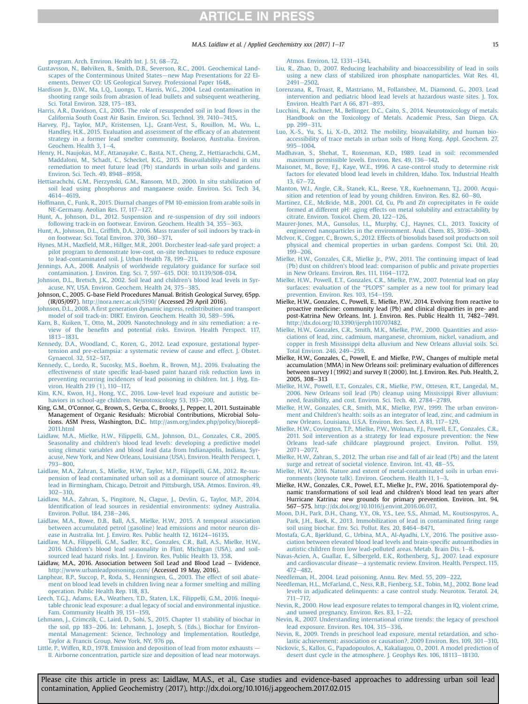### M.A.S. Laidlaw et al. / Applied Geochemistry xxx (2017) 1-17 15

<span id="page-14-0"></span>[program. Arch. Environ. Health Int. J. 51, 68](http://refhub.elsevier.com/S0883-2927(17)30173-7/sref189)-[72.](http://refhub.elsevier.com/S0883-2927(17)30173-7/sref189)

- [Gustavsson, N., Bølviken, B., Smith, D.B., Severson, R.C., 2001. Geochemical Land](http://refhub.elsevier.com/S0883-2927(17)30173-7/sref59)[scapes of the Conterminous United States](http://refhub.elsevier.com/S0883-2927(17)30173-7/sref59)—[new Map Presentations for 22 El](http://refhub.elsevier.com/S0883-2927(17)30173-7/sref59)[ements. Denver CO: US Geological Survey. Professional Paper 1648](http://refhub.elsevier.com/S0883-2927(17)30173-7/sref59).
- [Hardison Jr., D.W., Ma, L.Q., Luongo, T., Harris, W.G., 2004. Lead contamination in](http://refhub.elsevier.com/S0883-2927(17)30173-7/sref60) [shooting range soils from abrasion of lead bullets and subsequent weathering.](http://refhub.elsevier.com/S0883-2927(17)30173-7/sref60) [Sci. Total Environ. 328, 175](http://refhub.elsevier.com/S0883-2927(17)30173-7/sref60)-[183.](http://refhub.elsevier.com/S0883-2927(17)30173-7/sref60)
- [Harris, A.R., Davidson, C.I., 2005. The role of resuspended soil in lead](http://refhub.elsevier.com/S0883-2927(17)30173-7/sref61) flows in the [California South Coast Air Basin. Environ. Sci. Technol. 39, 7410](http://refhub.elsevier.com/S0883-2927(17)30173-7/sref61)-[7415](http://refhub.elsevier.com/S0883-2927(17)30173-7/sref61).
- [Harvey, P.J., Taylor, M.P., Kristensen, L.J., Grant-Vest, S., Rouillon, M., Wu, L.,](http://refhub.elsevier.com/S0883-2927(17)30173-7/sref62) [Handley, H.K., 2015. Evaluation and assessment of the ef](http://refhub.elsevier.com/S0883-2927(17)30173-7/sref62)ficacy of an abatement [strategy in a former lead smelter community, Boolaroo, Australia. Environ.](http://refhub.elsevier.com/S0883-2927(17)30173-7/sref62) Geochem. Health  $3.1-4.$  $3.1-4.$  $3.1-4.$
- [Henry, H., Naujokas, M.F., Attanayake, C., Basta, N.T., Cheng, Z., Hettiarachchi, G.M.,](http://refhub.elsevier.com/S0883-2927(17)30173-7/sref63) [Maddaloni, M., Schadt, C., Scheckel, K.G., 2015. Bioavailability-based in situ](http://refhub.elsevier.com/S0883-2927(17)30173-7/sref63) [remediation to meet future lead \(Pb\) standards in urban soils and gardens.](http://refhub.elsevier.com/S0883-2927(17)30173-7/sref63) [Environ. Sci. Tech. 49, 8948](http://refhub.elsevier.com/S0883-2927(17)30173-7/sref63)-[8958](http://refhub.elsevier.com/S0883-2927(17)30173-7/sref63).
- [Hettiarachchi, G.M., Pierzynski, G.M., Ransom, M.D., 2000. In situ stabilization of](http://refhub.elsevier.com/S0883-2927(17)30173-7/sref64) [soil lead using phosphorus and manganese oxide. Environ. Sci. Tech 34,](http://refhub.elsevier.com/S0883-2927(17)30173-7/sref64) [4614](http://refhub.elsevier.com/S0883-2927(17)30173-7/sref64)-[4619.](http://refhub.elsevier.com/S0883-2927(17)30173-7/sref64)
- [Hoffmann, C., Funk, R., 2015. Diurnal changes of PM 10-emission from arable soils in](http://refhub.elsevier.com/S0883-2927(17)30173-7/sref65) [NE-Germany. Aeolian Res. 17, 117](http://refhub.elsevier.com/S0883-2927(17)30173-7/sref65)-[127.](http://refhub.elsevier.com/S0883-2927(17)30173-7/sref65)
- [Hunt, A., Johnson, D.L., 2012. Suspension and re-suspension of dry soil indoors](http://refhub.elsevier.com/S0883-2927(17)30173-7/sref67) [following track-in on footwear. Environ. Geochem. Health 34, 355](http://refhub.elsevier.com/S0883-2927(17)30173-7/sref67)-[363](http://refhub.elsevier.com/S0883-2927(17)30173-7/sref67).
- Hunt, A., Johnson, D.L., Griffi[th, D.A., 2006. Mass transfer of soil indoors by track-in](http://refhub.elsevier.com/S0883-2927(17)30173-7/sref68) on footwear. Sci. Total Environ. 370. 360-[371.](http://refhub.elsevier.com/S0883-2927(17)30173-7/sref68)
- Hynes, M.H., Maxfi[eld, M.R., Hillger, M.R., 2001. Dorchester lead-safe yard project: a](http://refhub.elsevier.com/S0883-2927(17)30173-7/sref69) [pilot program to demonstrate low-cost, on-site techniques to reduce exposure](http://refhub.elsevier.com/S0883-2927(17)30173-7/sref69) [to lead-contaminated soil. J. Urban Health 78, 199](http://refhub.elsevier.com/S0883-2927(17)30173-7/sref69)-[211.](http://refhub.elsevier.com/S0883-2927(17)30173-7/sref69)
- [Jennings, A.A., 2008. Analysis of worldwide regulatory guidance for surface soil](http://refhub.elsevier.com/S0883-2927(17)30173-7/sref70) [contamination. J. Environ. Eng. Sci. 7, 597](http://refhub.elsevier.com/S0883-2927(17)30173-7/sref70)-[615. DOI: 10.1139/S08-034.](http://refhub.elsevier.com/S0883-2927(17)30173-7/sref70)
- [Johnson, D.L., Bretsch, J.K., 2002. Soil lead and children's blood lead levels in Syr](http://refhub.elsevier.com/S0883-2927(17)30173-7/sref71)[acuse, NY, USA. Environ. Geochem. Health 24, 375](http://refhub.elsevier.com/S0883-2927(17)30173-7/sref71)-[385.](http://refhub.elsevier.com/S0883-2927(17)30173-7/sref71)
- Johnson, C., 2005. G-base Field Procedures Manual. British Geological Survey, 65pp. (IR/05/097). <http://nora.nerc.ac.uk/5190/> (Accessed 29 April 2016).
- Johnson, D.L., 2008. A fi[rst generation dynamic ingress, redistribution and transport](http://refhub.elsevier.com/S0883-2927(17)30173-7/sref73) [model of soil track-in: DIRT. Environ. Geochem. Health 30, 589](http://refhub.elsevier.com/S0883-2927(17)30173-7/sref73)-[596](http://refhub.elsevier.com/S0883-2927(17)30173-7/sref73).
- [Karn, B., Kuiken, T., Otto, M., 2009. Nanotechnology and](http://refhub.elsevier.com/S0883-2927(17)30173-7/sref74) in situ remediation: a review of the benefi[ts and potential risks. Environ. Health Perspect. 117,](http://refhub.elsevier.com/S0883-2927(17)30173-7/sref74) [1813](http://refhub.elsevier.com/S0883-2927(17)30173-7/sref74)-[1831.](http://refhub.elsevier.com/S0883-2927(17)30173-7/sref74)
- [Kennedy, D.A., Woodland, C., Koren, G., 2012. Lead exposure, gestational hyper](http://refhub.elsevier.com/S0883-2927(17)30173-7/sref75)[tension and pre-eclampsia: a systematic review of cause and effect. J. Obstet.](http://refhub.elsevier.com/S0883-2927(17)30173-7/sref75) [Gynaecol. 32, 512](http://refhub.elsevier.com/S0883-2927(17)30173-7/sref75)-[517.](http://refhub.elsevier.com/S0883-2927(17)30173-7/sref75)
- [Kennedy, C., Lordo, R., Sucosky, M.S., Boehm, R., Brown, M.J., 2016. Evaluating the](http://refhub.elsevier.com/S0883-2927(17)30173-7/sref76) effectiveness of state specifi[c lead-based paint hazard risk reduction laws in](http://refhub.elsevier.com/S0883-2927(17)30173-7/sref76) [preventing recurring incidences of lead poisoning in children. Int. J. Hyg. En](http://refhub.elsevier.com/S0883-2927(17)30173-7/sref76)[viron. Health 219 \(1\), 110](http://refhub.elsevier.com/S0883-2927(17)30173-7/sref76)-[117.](http://refhub.elsevier.com/S0883-2927(17)30173-7/sref76)
- [Kim, K.N., Kwon, H.J., Hong, Y.C., 2016. Low-level lead exposure and autistic be](http://refhub.elsevier.com/S0883-2927(17)30173-7/sref77)[haviors in school-age children. Neurotoxicology 53, 193](http://refhub.elsevier.com/S0883-2927(17)30173-7/sref77)-[200.](http://refhub.elsevier.com/S0883-2927(17)30173-7/sref77)
- King, G.M., O'Connor, G., Brown, S., Gerba, C., Brooks, J., Pepper, I., 2011. Sustainable Management of Organic Residuals: Microbial Contributions, Microbial Solutions. ASM Press, Washington, D.C.. [http://asm.org/index.php/policy/biorep8-](http://asm.org/index.php/policy/biorep8-2011.html) [2011.html](http://asm.org/index.php/policy/biorep8-2011.html)
- [Laidlaw, M.A., Mielke, H.W., Filippelli, G.M., Johnson, D.L., Gonzales, C.R., 2005.](http://refhub.elsevier.com/S0883-2927(17)30173-7/sref79) [Seasonality and children's blood lead levels: developing a predictive model](http://refhub.elsevier.com/S0883-2927(17)30173-7/sref79) [using climatic variables and blood lead data from Indianapolis, Indiana, Syr](http://refhub.elsevier.com/S0883-2927(17)30173-7/sref79)[acuse, New York, and New Orleans, Louisiana \(USA\). Environ. Health Perspect. 1,](http://refhub.elsevier.com/S0883-2927(17)30173-7/sref79) [793](http://refhub.elsevier.com/S0883-2927(17)30173-7/sref79)-[800](http://refhub.elsevier.com/S0883-2927(17)30173-7/sref79).
- [Laidlaw, M.A., Zahran, S., Mielke, H.W., Taylor, M.P., Filippelli, G.M., 2012. Re-sus](http://refhub.elsevier.com/S0883-2927(17)30173-7/sref81)[pension of lead contaminated urban soil as a dominant source of atmospheric](http://refhub.elsevier.com/S0883-2927(17)30173-7/sref81) [lead in Birmingham, Chicago, Detroit and Pittsburgh, USA. Atmos. Environ. 49,](http://refhub.elsevier.com/S0883-2927(17)30173-7/sref81)  $302 - 310$  $302 - 310$ .
- [Laidlaw, M.A., Zahran, S., Pingitore, N., Clague, J., Devlin, G., Taylor, M.P., 2014.](http://refhub.elsevier.com/S0883-2927(17)30173-7/sref82) Identifi[cation of lead sources in residential environments: sydney Australia.](http://refhub.elsevier.com/S0883-2927(17)30173-7/sref82) [Environ. Pollut. 184, 238](http://refhub.elsevier.com/S0883-2927(17)30173-7/sref82)-[246.](http://refhub.elsevier.com/S0883-2927(17)30173-7/sref82)
- [Laidlaw, M.A., Rowe, D.B., Ball, A.S., Mielke, H.W., 2015. A temporal association](http://refhub.elsevier.com/S0883-2927(17)30173-7/sref83) [between accumulated petrol \(gasoline\) lead emissions and motor neuron dis](http://refhub.elsevier.com/S0883-2927(17)30173-7/sref83)[ease in Australia. Int. J. Enviro. Res. Public health 12, 16124](http://refhub.elsevier.com/S0883-2927(17)30173-7/sref83)-[16135.](http://refhub.elsevier.com/S0883-2927(17)30173-7/sref83)
- [Laidlaw, M.A., Filippelli, G.M., Sadler, R.C., Gonzales, C.R., Ball, A.S., Mielke, H.W.,](http://refhub.elsevier.com/S0883-2927(17)30173-7/sref84) [2016. Children's blood lead seasonality in Flint, Michigan \(USA\), and soil](http://refhub.elsevier.com/S0883-2927(17)30173-7/sref84)[sourced lead hazard risks. Int. J. Environ. Res. Public Health 13, 358](http://refhub.elsevier.com/S0883-2927(17)30173-7/sref84).
- Laidlaw, M.A., 2016. Association between Soil Lead and Blood Lead  $-$  Evidence. <http://www.urbanleadpoisoning.com/> (Accessed 19 May, 2016).
- [Lanphear, B.P., Succop, P., Roda, S., Henningsen, G., 2003. The effect of soil abate](http://refhub.elsevier.com/S0883-2927(17)30173-7/sref88)[ment on blood lead levels in children living near a former smelting and milling](http://refhub.elsevier.com/S0883-2927(17)30173-7/sref88) [operation. Public Health Rep. 118, 83](http://refhub.elsevier.com/S0883-2927(17)30173-7/sref88).
- [Leech, T.G.J., Adams, E.A., Weathers, T.D., Staten, L.K., Filippelli, G.M., 2016. Inequi](http://refhub.elsevier.com/S0883-2927(17)30173-7/sref89)[table chronic lead exposure: a dual legacy of social and environmental injustice.](http://refhub.elsevier.com/S0883-2927(17)30173-7/sref89) [Fam. Community Health 39, 151](http://refhub.elsevier.com/S0883-2927(17)30173-7/sref89)-[159.](http://refhub.elsevier.com/S0883-2927(17)30173-7/sref89)
- [Lehmann, J., Czimczik, C., Laird, D., Sohi, S., 2015. Chapter 11 stability of biochar in](http://refhub.elsevier.com/S0883-2927(17)30173-7/sref90) [the soil, pp 183](http://refhub.elsevier.com/S0883-2927(17)30173-7/sref90)-[206. In: Lehmann, J., Joseph, S. \(Eds.\), Biochar for Environ](http://refhub.elsevier.com/S0883-2927(17)30173-7/sref90)[mental Management: Science, Technology and Implementation. Routledge,](http://refhub.elsevier.com/S0883-2927(17)30173-7/sref90) [Taylor](http://refhub.elsevier.com/S0883-2927(17)30173-7/sref90) & [Francis Group, New York, NY, 976 pp](http://refhub.elsevier.com/S0883-2927(17)30173-7/sref90).
- [Little, P., Wiffen, R.D., 1978. Emission and deposition of lead from motor exhausts](http://refhub.elsevier.com/S0883-2927(17)30173-7/sref92) -[II. Airborne concentration, particle size and deposition of lead near motorways.](http://refhub.elsevier.com/S0883-2927(17)30173-7/sref92)

[Atmos. Environ. 12, 1331](http://refhub.elsevier.com/S0883-2927(17)30173-7/sref92)-[1341.](http://refhub.elsevier.com/S0883-2927(17)30173-7/sref92)

- [Liu, R., Zhao, D., 2007. Reducing leachability and bioaccessibility of lead in soils](http://refhub.elsevier.com/S0883-2927(17)30173-7/sref93) [using a new class of stabilized iron phosphate nanoparticles. Wat Res. 41,](http://refhub.elsevier.com/S0883-2927(17)30173-7/sref93)  $2491 - 2502$  $2491 - 2502$  $2491 - 2502$ .
- [Lorenzana, R., Troast, R., Mastriano, M., Follansbee, M., Diamond, G., 2003. Lead](http://refhub.elsevier.com/S0883-2927(17)30173-7/sref95) [intervention and pediatric blood lead levels at hazardous waste sites. J. Tox.](http://refhub.elsevier.com/S0883-2927(17)30173-7/sref95) [Environ. Health Part A 66, 871](http://refhub.elsevier.com/S0883-2927(17)30173-7/sref95) $-893$  $-893$ .
- [Lucchini, R., Aschner, M., Bellinger, D.C., Caito, S., 2014. Neurotoxicology of metals.](http://refhub.elsevier.com/S0883-2927(17)30173-7/sref96) [Handbook on the Toxicology of Metals. Academic Press, San Diego, CA,](http://refhub.elsevier.com/S0883-2927(17)30173-7/sref96) [pp. 299](http://refhub.elsevier.com/S0883-2927(17)30173-7/sref96)-[311.](http://refhub.elsevier.com/S0883-2927(17)30173-7/sref96)
- [Luo, X.-S., Yu, S., Li, X.-D., 2012. The mobility, bioavailability, and human bio](http://refhub.elsevier.com/S0883-2927(17)30173-7/sref97)[accessibility of trace metals in urban soils of Hong Kong. Appl. Geochem. 27,](http://refhub.elsevier.com/S0883-2927(17)30173-7/sref97) [995](http://refhub.elsevier.com/S0883-2927(17)30173-7/sref97)-[1004](http://refhub.elsevier.com/S0883-2927(17)30173-7/sref97).
- [Madhavan, S., Shehat, T., Rosenman, K.D., 1989. Lead in soil: recommended](http://refhub.elsevier.com/S0883-2927(17)30173-7/sref98)<br>[maximum permissible levels. Environ. Res. 49, 136](http://refhub.elsevier.com/S0883-2927(17)30173-7/sref98)–[142.](http://refhub.elsevier.com/S0883-2927(17)30173-7/sref98)
- [Maisonet, M., Bove, F.J., Kaye, W.E., 1996. A case-control study to determine risk](http://refhub.elsevier.com/S0883-2927(17)30173-7/sref99) [factors for elevated blood lead levels in children, Idaho. Tox. Industrial Health](http://refhub.elsevier.com/S0883-2927(17)30173-7/sref99)  $13.67 - 72.$  $13.67 - 72.$  $13.67 - 72.$
- Manton, W.I., Angle, C.R., Stanek, K.L., Reese, Y.R., Kuehnemann, T.J., 2000. Acqui[sition and retention of lead by young children. Environ. Res. 82, 60](http://refhub.elsevier.com/S0883-2927(17)30173-7/sref100)–[80](http://refhub.elsevier.com/S0883-2927(17)30173-7/sref100).
- [Martinez, C.E., McBride, M.B., 2001. Cd, Cu, Pb and Zn coprecipitates in Fe oxide](http://refhub.elsevier.com/S0883-2927(17)30173-7/sref101) [formed at different pH: aging effects on metal solubility and extractability by](http://refhub.elsevier.com/S0883-2927(17)30173-7/sref101) [citrate. Environ. Toxicol. Chem. 20, 122](http://refhub.elsevier.com/S0883-2927(17)30173-7/sref101)-[126.](http://refhub.elsevier.com/S0883-2927(17)30173-7/sref101)
- [Maurer-Jones, M.A., Gunsolus, I.L., Murphy, C.J., Haynes, C.L., 2013. Toxicity of](http://refhub.elsevier.com/S0883-2927(17)30173-7/sref102) [engineered nanoparticles in the environment. Anal. Chem. 85, 3036](http://refhub.elsevier.com/S0883-2927(17)30173-7/sref102)-[3049](http://refhub.elsevier.com/S0883-2927(17)30173-7/sref102).
- [McIvor, K., Cogger, C., Brown, S., 2012. Effects of biosolids based soil products on soil](http://refhub.elsevier.com/S0883-2927(17)30173-7/sref103) [physical and chemical properties in urban gardens. Compost Sci. Util. 20,](http://refhub.elsevier.com/S0883-2927(17)30173-7/sref103)  $199 - 206$  $199 - 206$
- [Mielke, H.W., Gonzales, C.R., Mielke Jr., P.W., 2011. The continuing impact of lead](http://refhub.elsevier.com/S0883-2927(17)30173-7/sref104) [\(Pb\) dust on children's blood lead: comparison of public and private properties](http://refhub.elsevier.com/S0883-2927(17)30173-7/sref104) in New Orleans. Environ. Res.  $111$ ,  $1164-1172$  $1164-1172$ .
- [Mielke, H.W., Powell, E.T., Gonzales, C.R., Mielke, P.W., 2007. Potential lead on play](http://refhub.elsevier.com/S0883-2927(17)30173-7/sref105) surfaces: evaluation of the "PLOPS" [sampler as a new tool for primary lead](http://refhub.elsevier.com/S0883-2927(17)30173-7/sref105) [prevention. Environ. Res. 103, 154](http://refhub.elsevier.com/S0883-2927(17)30173-7/sref105)-[159.](http://refhub.elsevier.com/S0883-2927(17)30173-7/sref105)
- Mielke, H.W., Gonzales, C., Powell, E., Mielke, P.W., 2014. Evolving from reactive to proactive medicine: community lead (Pb) and clinical disparities in pre- and post-Katrina New Orleans. Int. J. Environ. Res. Public Health 11, 7482-7491. [http://dx.doi.org/10.3390/ijerph110707482.](http://dx.doi.org/10.3390/ijerph110707482)
- [Mielke, H.W., Gonzales, C.R., Smith, M.K., Mielke, P.W., 2000. Quantities and asso](http://refhub.elsevier.com/S0883-2927(17)30173-7/sref107)[ciations of lead, zinc, cadmium, manganese, chromium, nickel, vanadium, and](http://refhub.elsevier.com/S0883-2927(17)30173-7/sref107) [copper in fresh Mississippi delta alluvium and New Orleans alluvial soils. Sci.](http://refhub.elsevier.com/S0883-2927(17)30173-7/sref107)<br>[Total Environ. 246, 249](http://refhub.elsevier.com/S0883-2927(17)30173-7/sref107)–[259](http://refhub.elsevier.com/S0883-2927(17)30173-7/sref107).
- Mielke, H.W., Gonzales, C., Powell, E. and Mielke, P.W., Changes of multiple metal accumulation (MMA) in New Orleans soil: preliminary evaluation of differences between survey I (1992) and survey II (2000). Int. J. Environ. Res. Pub. Health, 2, 2005, 308-313
- [Mielke, H.W., Powell, E.T., Gonzales, C.R., Mielke, P.W., Ottesen, R.T., Langedal, M.,](http://refhub.elsevier.com/S0883-2927(17)30173-7/sref111) [2006. New Orleans soil lead \(Pb\) cleanup using Mississippi River alluvium:](http://refhub.elsevier.com/S0883-2927(17)30173-7/sref111) [need, feasibility, and cost. Environ. Sci. Tech. 40, 2784](http://refhub.elsevier.com/S0883-2927(17)30173-7/sref111)-[2789.](http://refhub.elsevier.com/S0883-2927(17)30173-7/sref111)
- [Mielke, H.W., Gonzales, C.R., Smith, M.K., Mielke, P.W., 1999. The urban environ](http://refhub.elsevier.com/S0883-2927(17)30173-7/sref112)[ment and Children's health: soils as an integrator of lead, zinc, and cadmium in](http://refhub.elsevier.com/S0883-2927(17)30173-7/sref112) [new Orleans, Louisiana, U.S.A. Environ. Res. Sect. A 81, 117](http://refhub.elsevier.com/S0883-2927(17)30173-7/sref112)-[129.](http://refhub.elsevier.com/S0883-2927(17)30173-7/sref112)
- [Mielke, H.W., Covington, T.P., Mielke, P.W., Wolman, F.J., Powell, E.T., Gonzales, C.R.,](http://refhub.elsevier.com/S0883-2927(17)30173-7/sref113) [2011. Soil intervention as a strategy for lead exposure prevention: the New](http://refhub.elsevier.com/S0883-2927(17)30173-7/sref113) [Orleans lead-safe childcare playground project. Environ. Pollut. 159,](http://refhub.elsevier.com/S0883-2927(17)30173-7/sref113)  $2071 - 2077.$  $2071 - 2077.$  $2071 - 2077.$
- [Mielke, H.W., Zahran, S., 2012. The urban rise and fall of air lead \(Pb\) and the latent](http://refhub.elsevier.com/S0883-2927(17)30173-7/sref114) surge and retreat of societal violence. Environ. Int.  $43, 48-55$  $43, 48-55$
- [Mielke, H.W., 2016. Nature and extent of metal-contaminated soils in urban envi](http://refhub.elsevier.com/S0883-2927(17)30173-7/sref115)[ronments \(keynote talk\). Environ. Geochem. Health 11, 1](http://refhub.elsevier.com/S0883-2927(17)30173-7/sref115)-[3.](http://refhub.elsevier.com/S0883-2927(17)30173-7/sref115)
- Mielke, H.W., Gonzales, C.R., Powel, E.T., Mielke Jr., P.W., 2016. Spatiotemporal dynamic transformations of soil lead and children's blood lead ten years after Hurricane Katrina: new grounds for primary prevention. Environ. Int. 94, 567-575. [http://dx.doi.org/10.1016/j.envint.2016.06.017.](http://dx.doi.org/10.1016/j.envint.2016.06.017)
- [Moon, D.H., Park, D.H., Chang, Y.Y., Ok, Y.S., Lee, S.S., Ahmad, M., Koutsospyros, A.,](http://refhub.elsevier.com/S0883-2927(17)30173-7/sref117) [Park, J.H., Baek, K., 2013. Immobilization of lead in contaminated](http://refhub.elsevier.com/S0883-2927(17)30173-7/sref117) firing range [soil using biochar. Env. Sci. Pollut. Res. 20, 8464](http://refhub.elsevier.com/S0883-2927(17)30173-7/sref117)-[8471.](http://refhub.elsevier.com/S0883-2927(17)30173-7/sref117)
- [Mostafa, G.A., Bjørklund, G., Urbina, M.A., Al-Ayadhi, L.Y., 2016. The positive asso](http://refhub.elsevier.com/S0883-2927(17)30173-7/sref118)[ciation between elevated blood lead levels and brain-speci](http://refhub.elsevier.com/S0883-2927(17)30173-7/sref118)fic autoantibodies in autistic children from low lead-polluted areas. Metab. Brain Dis.  $1-8$  $1-8$ .
- [Navas-Acien, A., Guallar, E., Silbergeld, E.K., Rothenberg, S.J., 2007. Lead exposure](http://refhub.elsevier.com/S0883-2927(17)30173-7/sref119) [and cardiovascular disease](http://refhub.elsevier.com/S0883-2927(17)30173-7/sref119)-[a systematic review. Environ. Health. Perspect. 115,](http://refhub.elsevier.com/S0883-2927(17)30173-7/sref119) [472](http://refhub.elsevier.com/S0883-2927(17)30173-7/sref119)-[482.](http://refhub.elsevier.com/S0883-2927(17)30173-7/sref119)
- [Needleman, H., 2004. Lead poisoning. Annu. Rev. Med. 55, 209](http://refhub.elsevier.com/S0883-2927(17)30173-7/sref120)-[222](http://refhub.elsevier.com/S0883-2927(17)30173-7/sref120).
- [Needleman, H.L., McFarland, C., Ness, R.B., Fienberg, S.E., Tobin, M.J., 2002. Bone lead](http://refhub.elsevier.com/S0883-2927(17)30173-7/sref121) [levels in adjudicated delinquents: a case control study. Neurotox. Teratol. 24,](http://refhub.elsevier.com/S0883-2927(17)30173-7/sref121) [711](http://refhub.elsevier.com/S0883-2927(17)30173-7/sref121)-717
- [Nevin, R., 2000. How lead exposure relates to temporal changes in IQ, violent crime,](http://refhub.elsevier.com/S0883-2927(17)30173-7/sref122) and unwed pregnancy. Environ. Res. 83,  $1-22$  $1-22$ .
- [Nevin, R., 2007. Understanding international crime trends: the legacy of preschool](http://refhub.elsevier.com/S0883-2927(17)30173-7/sref123) [lead exposure. Environ. Res. 104, 315](http://refhub.elsevier.com/S0883-2927(17)30173-7/sref123)-[336](http://refhub.elsevier.com/S0883-2927(17)30173-7/sref123).

[Nevin, R., 2009. Trends in preschool lead exposure, mental retardation, and scho](http://refhub.elsevier.com/S0883-2927(17)30173-7/sref124)[lastic achievement: association or causation?, 2009 Environ. Res. 109, 301](http://refhub.elsevier.com/S0883-2927(17)30173-7/sref124)-[310](http://refhub.elsevier.com/S0883-2927(17)30173-7/sref124).

[Nickovic, S., Kallos, G., Papadopoulos, A., Kakaliagou, O., 2001. A model prediction of](http://refhub.elsevier.com/S0883-2927(17)30173-7/sref125) [desert dust cycle in the atmosphere. J. Geophys Res. 106, 18113](http://refhub.elsevier.com/S0883-2927(17)30173-7/sref125)-[18130.](http://refhub.elsevier.com/S0883-2927(17)30173-7/sref125)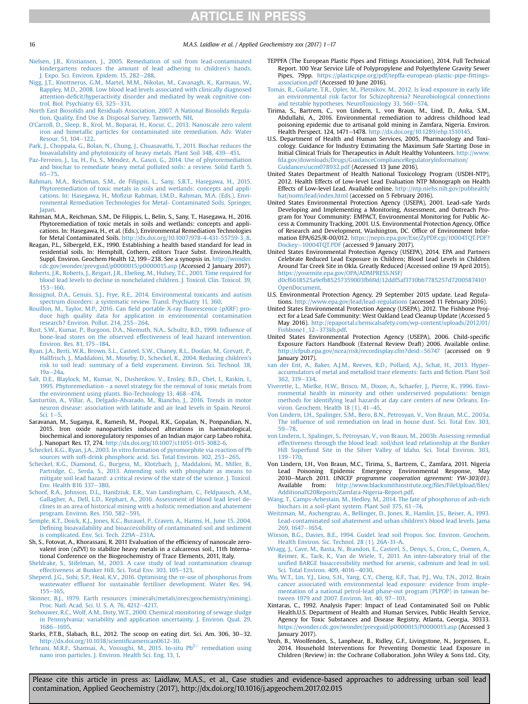- [Nielsen, J.B., Kristiansen, J., 2005. Remediation of soil from lead-contaminated](http://refhub.elsevier.com/S0883-2927(17)30173-7/sref126) [kindergartens reduces the amount of lead adhering to children's hands.](http://refhub.elsevier.com/S0883-2927(17)30173-7/sref126) [J. Expo. Sci. Environ. Epidem. 15, 282](http://refhub.elsevier.com/S0883-2927(17)30173-7/sref126)-[288.](http://refhub.elsevier.com/S0883-2927(17)30173-7/sref126)
- [Nigg, J.T., Knottnerus, G.M., Martel, M.M., Nikolas, M., Cavanagh, K., Karmaus, W.,](http://refhub.elsevier.com/S0883-2927(17)30173-7/sref127) [Rappley, M.D., 2008. Low blood lead levels associated with clinically diagnosed](http://refhub.elsevier.com/S0883-2927(17)30173-7/sref127) attention-defi[cit/hyperactivity disorder and mediated by weak cognitive con](http://refhub.elsevier.com/S0883-2927(17)30173-7/sref127)trol. Biol. Psychiatry  $63, 325-331$ .
- [North East Biosolids and Residuals Association, 2007. A National Biosolids Regula-](http://refhub.elsevier.com/S0883-2927(17)30173-7/sref128)
- [tion, Quality, End Use](http://refhub.elsevier.com/S0883-2927(17)30173-7/sref128) & [Disposal Survey. Tamworth, NH](http://refhub.elsevier.com/S0883-2927(17)30173-7/sref128). [O'Carroll, D., Sleep, B., Krol, M., Boparai, H., Kocur, C., 2013. Nanoscale zero valent](http://refhub.elsevier.com/S0883-2927(17)30173-7/sref130) [iron and bimetallic particles for contaminated site remediation. Adv. Water](http://refhub.elsevier.com/S0883-2927(17)30173-7/sref130) [Resour. 51, 104](http://refhub.elsevier.com/S0883-2927(17)30173-7/sref130)-[122](http://refhub.elsevier.com/S0883-2927(17)30173-7/sref130).
- [Park, J., Choppala, G., Bolan, N., Chung, J., Chuasavathi, T., 2011. Biochar reduces the](http://refhub.elsevier.com/S0883-2927(17)30173-7/sref131)<br>[bioavailability and phytotoxicity of heavy metals. Plant Soil 348, 439](http://refhub.elsevier.com/S0883-2927(17)30173-7/sref131)—[451.](http://refhub.elsevier.com/S0883-2927(17)30173-7/sref131)
- [Paz-Ferreiro, J., Lu, H., Fu, S., M](http://refhub.elsevier.com/S0883-2927(17)30173-7/sref132)é[ndez, A., Gasc](http://refhub.elsevier.com/S0883-2927(17)30173-7/sref132)ó, G., 2014. Use of phytoremediation [and biochar to remediate heavy metal polluted soils: a review. Solid Earth 5,](http://refhub.elsevier.com/S0883-2927(17)30173-7/sref132)  $65 - 75.$  $65 - 75.$  $65 - 75.$
- [Rahman, M.A., Reichman, S.M., de Filippis, L., Sany, S.B.T., Hasegawa, H., 2015.](http://refhub.elsevier.com/S0883-2927(17)30173-7/sref134) [Phytoremediation of toxic metals in soils and wetlands: concepts and appli-](http://refhub.elsevier.com/S0883-2927(17)30173-7/sref134)cations. In: Hasegawa, H., Mofi[zur Rahman, I.M.D., Rahman, M.A. \(Eds.\), Envi](http://refhub.elsevier.com/S0883-2927(17)30173-7/sref134)[ronmental Remediation Technologies for Metal- Contaminated Soils. Springer,](http://refhub.elsevier.com/S0883-2927(17)30173-7/sref134) **[Japan](http://refhub.elsevier.com/S0883-2927(17)30173-7/sref134)**
- Rahman, M.A., Reichman, S.M., De Filippis, L., Belin, S., Sany, T., Hasegawa, H., 2016. Phytoremediation of toxic metals in soils and wetlands: concepts and applications. In: Hasegawa, H., et al. (Eds.), Environmental Remediation Technologies for Metal Contaminated Soils. [http://dx.doi.org/10.1007/978-4-431-55759-3\\_8.](http://dx.doi.org/10.1007/978-4-431-55759-3_8)
- Reagan, P.L., Silbergeld, E.K., 1990. Establishing a health based standard for lead in residential soils. In: Hemphill, Cothern, editors Trace Subst. Environ.Health, Suppl. Environ. Geochem Health 12, 199-238. See a synopsis in. [http://wonder.](http://wonder.cdc.gov/wonder/prevguid/p0000015/p0000015.asp) [cdc.gov/wonder/prevguid/p0000015/p0000015.asp](http://wonder.cdc.gov/wonder/prevguid/p0000015/p0000015.asp) (Accessed 2 January 2017).
- [Roberts, J.R., Roberts, J., Reigart, J.R., Ebeling, M., Hulsey, T.C., 2001. Time required for](http://refhub.elsevier.com/S0883-2927(17)30173-7/sref137) [blood lead levels to decline in nonchelated children. J. Toxicol. Clin. Toxicol. 39,](http://refhub.elsevier.com/S0883-2927(17)30173-7/sref137) [153](http://refhub.elsevier.com/S0883-2927(17)30173-7/sref137)-[160](http://refhub.elsevier.com/S0883-2927(17)30173-7/sref137)
- [Rossignol, D.A., Genuis, S.J., Frye, R.E., 2014. Environmental toxicants and autism](http://refhub.elsevier.com/S0883-2927(17)30173-7/sref138) [spectrum disorders: a systematic review. Transl. Psychiatry 11, 360.](http://refhub.elsevier.com/S0883-2927(17)30173-7/sref138)
- [Rouillon, M., Taylor, M.P., 2016. Can](http://refhub.elsevier.com/S0883-2927(17)30173-7/sref139) field portable X-ray fluorescence (pXRF) pro[duce high quality data for application in environmental contamination](http://refhub.elsevier.com/S0883-2927(17)30173-7/sref139) [research? Environ. Pollut. 214, 255](http://refhub.elsevier.com/S0883-2927(17)30173-7/sref139)-[264.](http://refhub.elsevier.com/S0883-2927(17)30173-7/sref139)
- [Rust, S.W., Kumar, P., Burgoon, D.A., Niemuth, N.A., Schultz, B.D., 1999. In](http://refhub.elsevier.com/S0883-2927(17)30173-7/sref140)fluence of [bone-lead stores on the observed effectiveness of lead hazard intervention.](http://refhub.elsevier.com/S0883-2927(17)30173-7/sref140) [Environ. Res. 81, 175](http://refhub.elsevier.com/S0883-2927(17)30173-7/sref140)-[184.](http://refhub.elsevier.com/S0883-2927(17)30173-7/sref140)
- [Ryan, J.A., Berti, W.R., Brown, S.L., Casteel, S.W., Chaney, R.L., Doolan, M., Grevatt, P.,](http://refhub.elsevier.com/S0883-2927(17)30173-7/sref141) [Hallfrisch, J., Maddaloni, M., Moseby, D., Scheckel, K., 2004. Reducing children's](http://refhub.elsevier.com/S0883-2927(17)30173-7/sref141) risk to soil lead: summary of a fi[eld experiment. Environ. Sci. Technol. 38,](http://refhub.elsevier.com/S0883-2927(17)30173-7/sref141)  $19a - 24a$  $19a - 24a$  $19a - 24a$ .
- [Salt, D.E., Blaylock, M., Kumar, N., Dushenkov, V., Ensley, B.D., Chet, I., Raskin, I.,](http://refhub.elsevier.com/S0883-2927(17)30173-7/sref142) [1995. Phytoremediation - a novel strategy for the removal of toxic metals from](http://refhub.elsevier.com/S0883-2927(17)30173-7/sref142) [the environment using plants. Bio-Technology 13, 468](http://refhub.elsevier.com/S0883-2927(17)30173-7/sref142)-[474.](http://refhub.elsevier.com/S0883-2927(17)30173-7/sref142)
- [Santurtún, A., Villar, A., Delgado-Alvarado, M., Riancho, J., 2016. Trends in motor](http://refhub.elsevier.com/S0883-2927(17)30173-7/sref143) [neuron disease: association with latitude and air lead levels in Spain. Neurol.](http://refhub.elsevier.com/S0883-2927(17)30173-7/sref143) Sci.  $1-5$ .
- Saravanan, M., Suganya, R., Ramesh, M., Poopal, R.K., Gopalan, N., Ponpandian, N., 2015. Iron oxide nanoparticles induced alterations in haematological, biochemical and ionoregulatory responses of an Indian major carp Labeo rohita. J. Nanopart Res. 17, 274. [http://dx.doi.org/10.1007/s11051-015-3082-6.](http://dx.doi.org/10.1007/s11051-015-3082-6)
- [Scheckel, K.G., Ryan, J.A., 2003. In vitro formation of pyromorphite via reaction of Pb](http://refhub.elsevier.com/S0883-2927(17)30173-7/sref145) [sources with soft-drink phosphoric acid. Sci. Total Environ. 302, 253](http://refhub.elsevier.com/S0883-2927(17)30173-7/sref145)-[265.](http://refhub.elsevier.com/S0883-2927(17)30173-7/sref145)
- [Scheckel, K.G., Diamond, G., Burgess, M., Klotzbach, J., Maddaloni, M., Miller, B.,](http://refhub.elsevier.com/S0883-2927(17)30173-7/sref146) [Partridge, C., Serda, S., 2013. Amending soils with phosphate as means to](http://refhub.elsevier.com/S0883-2927(17)30173-7/sref146) [mitigate soil lead hazard: a critical review of the state of the science. J. Toxicol.](http://refhub.elsevier.com/S0883-2927(17)30173-7/sref146) [Env. Health B16 337](http://refhub.elsevier.com/S0883-2927(17)30173-7/sref146)-[380](http://refhub.elsevier.com/S0883-2927(17)30173-7/sref146).
- [Schoof, R.A., Johnson, D.L., Handziuk, E.R., Van Landingham, C., Feldpausch, A.M.,](http://refhub.elsevier.com/S0883-2927(17)30173-7/sref147) [Gallagher, A., Dell, L.D., Kephart, A., 2016. Assessment of blood lead level de](http://refhub.elsevier.com/S0883-2927(17)30173-7/sref147)[clines in an area of historical mining with a holistic remediation and abatement](http://refhub.elsevier.com/S0883-2927(17)30173-7/sref147) program. Environ. Res. 150,  $582-591$ .
- [Semple, K.T., Doick, K.J., Jones, K.C., Burauel, P., Craven, A., Harms, H., June 15, 2004.](http://refhub.elsevier.com/S0883-2927(17)30173-7/sref148) Defi[ning bioavailability and bioaccessibility of contaminated soil and sediment](http://refhub.elsevier.com/S0883-2927(17)30173-7/sref148) s complicated. Env. Sci. Tech. 229A-[231A](http://refhub.elsevier.com/S0883-2927(17)30173-7/sref148).
- Sh, S., Fotovat, A., Khorassani, R. 2011 Evaluation of the efficiency of nanoscale zerovalent iron (nZVI) to stabilize heavy metals in a calcareous soil., 11th International Conference on the Biogeochemistry of Trace Elements, 2011, Italy.
- [Sheldrake, S., Stifelman, M., 2003. A case study of lead contamination cleanup](http://refhub.elsevier.com/S0883-2927(17)30173-7/sref150) [effectiveness at Bunker Hill. Sci. Total Env. 303, 105](http://refhub.elsevier.com/S0883-2927(17)30173-7/sref150)-[123](http://refhub.elsevier.com/S0883-2927(17)30173-7/sref150).
- [Sheperd, J.G., Sohi, S.P., Heal, K.V., 2016. Optimising the re-use of phosphorus from](http://refhub.elsevier.com/S0883-2927(17)30173-7/sref151) wastewater effl[uent for sustainable fertiliser development. Water Res. 94,](http://refhub.elsevier.com/S0883-2927(17)30173-7/sref151)  $155 - 165.$  $155 - 165.$  $155 - 165.$  $155 - 165.$
- [Skinner, B.J., 1979. Earth resources \(minerals/metals/ores/geochemistry/mining\).](http://refhub.elsevier.com/S0883-2927(17)30173-7/sref152) [Proc. Natl. Acad. Sci. U. S. A. 76, 4212](http://refhub.elsevier.com/S0883-2927(17)30173-7/sref152)-[4217.](http://refhub.elsevier.com/S0883-2927(17)30173-7/sref152)
- [Stehouwer, R.C., Wolf, A.M., Doty, W.T., 2000. Chemical monitoring of sewage sludge](http://refhub.elsevier.com/S0883-2927(17)30173-7/sref153) [in Pennsylvania: variability and application uncertainty. J. Environ. Qual. 29,](http://refhub.elsevier.com/S0883-2927(17)30173-7/sref153) [1686](http://refhub.elsevier.com/S0883-2927(17)30173-7/sref153)-[1695](http://refhub.elsevier.com/S0883-2927(17)30173-7/sref153).
- Starks, P.T.B., Slabach, B.L., 2012. The scoop on eating dirt. Sci. Am. 306, 30-32. [http://dx.doi.org/10.1038/scienti](http://dx.doi.org/10.1038/scientificamerican0612-30)ficamerican0612-30.
- [Tehrani,](http://refhub.elsevier.com/S0883-2927(17)30173-7/sref156) [M.R.F.,](http://refhub.elsevier.com/S0883-2927(17)30173-7/sref156) [Shamsai,](http://refhub.elsevier.com/S0883-2927(17)30173-7/sref156) [A.,](http://refhub.elsevier.com/S0883-2927(17)30173-7/sref156) [Vossughi,](http://refhub.elsevier.com/S0883-2927(17)30173-7/sref156) [M.,](http://refhub.elsevier.com/S0883-2927(17)30173-7/sref156) [2015.](http://refhub.elsevier.com/S0883-2927(17)30173-7/sref156) [In-situ](http://refhub.elsevier.com/S0883-2927(17)30173-7/sref156) Pb<sup>2+</sup> [remediation using](http://refhub.elsevier.com/S0883-2927(17)30173-7/sref156) [nano iron particles. J. Environ. Health Sci. Eng. 13, 1.](http://refhub.elsevier.com/S0883-2927(17)30173-7/sref156)
- TEPPFA (The European Plastic Pipes and Fittings Association), 2014. Full Technical Report. 100 Year Service Life of Polypropylene and Polyethylene Gravity Sewer Pipes, 79pp. [https://plasticpipe.org/pdf/tepffa-european-plastic-pipe-](https://plasticpipe.org/pdf/tepffa-european-plastic-pipe-fittings-association.pdf)fittings[association.pdf](https://plasticpipe.org/pdf/tepffa-european-plastic-pipe-fittings-association.pdf) (Accessed 10 June 2016).
- [Tomas, R., Guilarte, T.R., Opler, M., Pletnikov, M., 2012. Is lead exposure in early life](http://refhub.elsevier.com/S0883-2927(17)30173-7/sref159) [an environmental risk factor for Schizophrenia? Neurobiological connections](http://refhub.elsevier.com/S0883-2927(17)30173-7/sref159) [and testable hypotheses. NeuroToxicology 33, 560](http://refhub.elsevier.com/S0883-2927(17)30173-7/sref159)-[574.](http://refhub.elsevier.com/S0883-2927(17)30173-7/sref159)
- Tirima, S., Bartrem, C., von Lindern, I., von Braun, M., Lind, D., Anka, S.M., Abdullahi, A., 2016. Environmental remediation to address childhood lead poisoning epidemic due to artisanal gold mining in Zamfara, Nigeria. Environ. Health Perspect. 124, 1471–1478. [http://dx.doi.org/10.1289/ehp.1510145.](http://dx.doi.org/10.1289/ehp.1510145)<br>U.S. Department of Health and Human Services, 2005. Pharmacology and Toxi-
- cology. Guidance for Industry Estimating the Maximum Safe Starting Dose in Initial Clinical Trials for Therapeutics in Adult Healthy Volunteers. [http://www.](http://www.fda.gov/downloads/Drugs/GuidanceComplianceRegulatoryInformation/Guidances/ucm078932.pdf) [fda.gov/downloads/Drugs/GuidanceComplianceRegulatoryInformation/](http://www.fda.gov/downloads/Drugs/GuidanceComplianceRegulatoryInformation/Guidances/ucm078932.pdf) [Guidances/ucm078932.pdf](http://www.fda.gov/downloads/Drugs/GuidanceComplianceRegulatoryInformation/Guidances/ucm078932.pdf) (Accessed 13 June 2016).
- United States Department of Health National Toxicology Program (USDH-NTP), 2012. Health Effects of Low-level Lead Evaluation NTP Monograph on Health Effects of Low-level Lead. Available online. [http://ntp.niehs.nih.gov/pubhealth/](http://ntp.niehs.nih.gov/pubhealth/hat/noms/lead/index.html) [hat/noms/lead/index.html](http://ntp.niehs.nih.gov/pubhealth/hat/noms/lead/index.html) (accessed on 5 February 2016).
- United States Environmental Protection Agency (USEPA), 2001. Lead-safe Yards Developing and Implementing a Monitoring, Assessment, and Outreach Program for Your Community: EMPACT, Environmental Monitoring for Public Access & Community Tracking, 2001. U.S. Environmental Protection Agency, Office of Research and Development, Washington, DC. Office of Environment Information EPA/625/R-00/012. [https://nepis.epa.gov/Exe/ZyPDF.cgi/10004TQT.PDF?](https://nepis.epa.gov/Exe/ZyPDF.cgi/10004TQT.PDF?Dockey=10004TQT.PDF) [Dockey](https://nepis.epa.gov/Exe/ZyPDF.cgi/10004TQT.PDF?Dockey=10004TQT.PDF)=[10004TQT.PDF](https://nepis.epa.gov/Exe/ZyPDF.cgi/10004TQT.PDF?Dockey=10004TQT.PDF) (accessed 9 January 2017).
- United States Environmental Protection Agency (USEPA), 2014. EPA and Partners Celebrate Reduced Lead Exposure in Children; Blood Lead Levels in Children Around Tar Creek Site in Okla. Greatly Reduced (Accessed online 19 April 2015). [https://yosemite.epa.gov/OPA/ADMPRESS.NSF/](https://yosemite.epa.gov/OPA/ADMPRESS.NSF/d0cf6618525a9efb85257359003fb69d/12ddf5af3710bb7785257d7200587410!OpenDocument) [d0cf6618525a9efb85257359003fb69d/12ddf5af3710bb7785257d7200587410!](https://yosemite.epa.gov/OPA/ADMPRESS.NSF/d0cf6618525a9efb85257359003fb69d/12ddf5af3710bb7785257d7200587410!OpenDocument)
- [OpenDocument](https://yosemite.epa.gov/OPA/ADMPRESS.NSF/d0cf6618525a9efb85257359003fb69d/12ddf5af3710bb7785257d7200587410!OpenDocument). U.S. Environmental Protection Agency, 29 September 2015 update. Lead Regula-
- tions. <http://www.epa.gov/lead/lead-regulations> (accessed 11 February 2016). United States Environmental Protection Agency (USEPA), 2012. The Fishbone Proj-
- ect for a Lead Safe Community: West Oakland Lead Cleanup Update (Accessed 5 May 2016). [http://epaportal.chemicalsafety.com/wp-content/uploads/2012/01/](mailto:http://epaportal.chemicalsafety.com/wp-content/uploads/2012/01/Fishbone1_12%5f373kb.pdf) [Fishbone1\\_12](mailto:http://epaportal.chemicalsafety.com/wp-content/uploads/2012/01/Fishbone1_12%5f373kb.pdf)-[373kb.pdf](mailto:http://epaportal.chemicalsafety.com/wp-content/uploads/2012/01/Fishbone1_12%5f373kb.pdf).
- United States Environmental Protection Agency (USEPA), 2006. Child-specific Exposure Factors Handbook (External Review Draft) 2006. Available online. [http://cfpub.epa.gov/ncea/risk/recordisplay.cfm?deid](http://cfpub.epa.gov/ncea/risk/recordisplay.cfm?deid=56747)=[56747](http://cfpub.epa.gov/ncea/risk/recordisplay.cfm?deid=56747) (accessed on 9 January 2017).
- [van der Ent, A., Baker, A.J.M., Reeves, R.D., Pollard, A.J., Schat, H., 2013. Hyper](http://refhub.elsevier.com/S0883-2927(17)30173-7/sref168)[accumulators of metal and metalloid trace elements: facts and](http://refhub.elsevier.com/S0883-2927(17)30173-7/sref168) fiction. Plant Soil [362, 319](http://refhub.elsevier.com/S0883-2927(17)30173-7/sref168)-[334.](http://refhub.elsevier.com/S0883-2927(17)30173-7/sref168)
- [Viverette, L., Mielke, H.W., Brisco, M., Dixon, A., Schaefer, J., Pierre, K., 1996. Envi](http://refhub.elsevier.com/S0883-2927(17)30173-7/sref169)[ronmental health in minority and other underserved populations: benign](http://refhub.elsevier.com/S0883-2927(17)30173-7/sref169) [methods for identifying lead hazards at day care centers of new Orleans. En](http://refhub.elsevier.com/S0883-2927(17)30173-7/sref169)viron. Geochem. Health  $18(1)$ ,  $41-45$ .
- [Von Lindern, I.H., Spalinger, S.M., Bero, B.N., Petrosyan, V., Von Braun, M.C., 2003a.](http://refhub.elsevier.com/S0883-2927(17)30173-7/sref170) The infl[uence of soil remediation on lead in house dust. Sci. Total Env. 303,](http://refhub.elsevier.com/S0883-2927(17)30173-7/sref170)  $59 - 78.$  $59 - 78.$  $59 - 78.$
- [von Lindern, I., Spalinger, S., Petroysan, V., von Braun, M., 2003b. Assessing remedial](http://refhub.elsevier.com/S0883-2927(17)30173-7/sref191) [effectiveness through the blood lead: soil/dust lead relationship at the Bunker](http://refhub.elsevier.com/S0883-2927(17)30173-7/sref191) [Hill Superfund Site in the Silver Valley of Idaho. Sci. Total Environ. 303,](http://refhub.elsevier.com/S0883-2927(17)30173-7/sref191) [139](http://refhub.elsevier.com/S0883-2927(17)30173-7/sref191)-[170](http://refhub.elsevier.com/S0883-2927(17)30173-7/sref191)
- Von Lindern, I.H., Von Braun, M.C., Tirima, S., Bartrem, C., Zamfara, 2011. Nigeria Lead Poisoning Epidemic Emergency Environmental Response, May 2010-March 2011. UNICEF programme cooperation agreement: YW-303(01). Available from: [http://www.blacksmithinstitute.org/](http://www.blacksmithinstitute.org/files/FileUpload/files/Additional%20Reports/Zamfara-Nigeria-Report.pdf)files/FileUpload/files/ [Additional%20Reports/Zamfara-Nigeria-Report.pdf.](http://www.blacksmithinstitute.org/files/FileUpload/files/Additional%20Reports/Zamfara-Nigeria-Report.pdf)
- [Wang, T., Camps-Arbestain, M., Hedley, M., 2014. The fate of phosphorus of ash-rich](http://refhub.elsevier.com/S0883-2927(17)30173-7/sref171) [biochars in a soil-plant system. Plant Soil 375, 61](http://refhub.elsevier.com/S0883-2927(17)30173-7/sref171)-[74.](http://refhub.elsevier.com/S0883-2927(17)30173-7/sref171)
- [Weitzman, M., Aschengrau, A., Bellinger, D., Jones, R., Hamlin, J.S., Beiser, A., 1993.](http://refhub.elsevier.com/S0883-2927(17)30173-7/sref172) [Lead-contaminated soil abatement and urban children's blood lead levels. Jama](http://refhub.elsevier.com/S0883-2927(17)30173-7/sref172) [269, 1647](http://refhub.elsevier.com/S0883-2927(17)30173-7/sref172)-[1654](http://refhub.elsevier.com/S0883-2927(17)30173-7/sref172).
- [Wixson, B.G., Davies, B.E., 1994. Guidel. lead soil Propos. Soc. Environ. Geochem.](http://refhub.elsevier.com/S0883-2927(17)30173-7/sref173) [Health Environ. Sic. Technol. 28 \(1\), 26A-31-A](http://refhub.elsevier.com/S0883-2927(17)30173-7/sref173).
- [Wragg, J., Cave, M., Basta, N., Brandon, E., Casteel, S., Denys, S., Cron, C., Oomen, A.,](http://refhub.elsevier.com/S0883-2927(17)30173-7/sref174) [Reimer, K., Tack, K., Van de Wiele, T., 2011. An inter-laboratory trial of the](http://refhub.elsevier.com/S0883-2927(17)30173-7/sref174) unifi[ed BARGE bioaccessibility method for arsenic, cadmium and lead in soil.](http://refhub.elsevier.com/S0883-2927(17)30173-7/sref174) [Sci. Total Environ. 409, 4016](http://refhub.elsevier.com/S0883-2927(17)30173-7/sref174)-[4030](http://refhub.elsevier.com/S0883-2927(17)30173-7/sref174).
- [Wu, W.T., Lin, Y.J., Liou, S.H., Yang, C.Y., Cheng, K.F., Tsai, P.J., Wu, T.N., 2012. Brain](http://refhub.elsevier.com/S0883-2927(17)30173-7/sref175) [cancer associated with environmental lead exposure: evidence from imple](http://refhub.elsevier.com/S0883-2927(17)30173-7/sref175)[mentation of a national petrol-lead phase-out program \(PLPOP\) in taiwan be](http://refhub.elsevier.com/S0883-2927(17)30173-7/sref175)tween 1979 and 2007. Environ. Int.  $40, 97-101$ .
- Xintaras, C., 1992. Analysis Paper: Impact of Lead Contaminated Soil on Public Health.U.S. Department of Health and Human Services, Public Health Service, Agency for Toxic Substances and Disease Registry, Atlanta, Georgia, 30333. <https://wonder.cdc.gov/wonder/prevguid/p0000015/P0000015.asp> (Accessed 3 January 2017)
- Yeoh, B., Woolfenden, S., Lanphear, B., Ridley, G.F., Livingstone, N., Jorgensen, E., 2014. Household Interventions for Preventing Domestic Lead Exposure in Children (Review) in: the Cochrane Collaboration. John Wiley & Sons Ltd.. City,

<span id="page-15-0"></span>